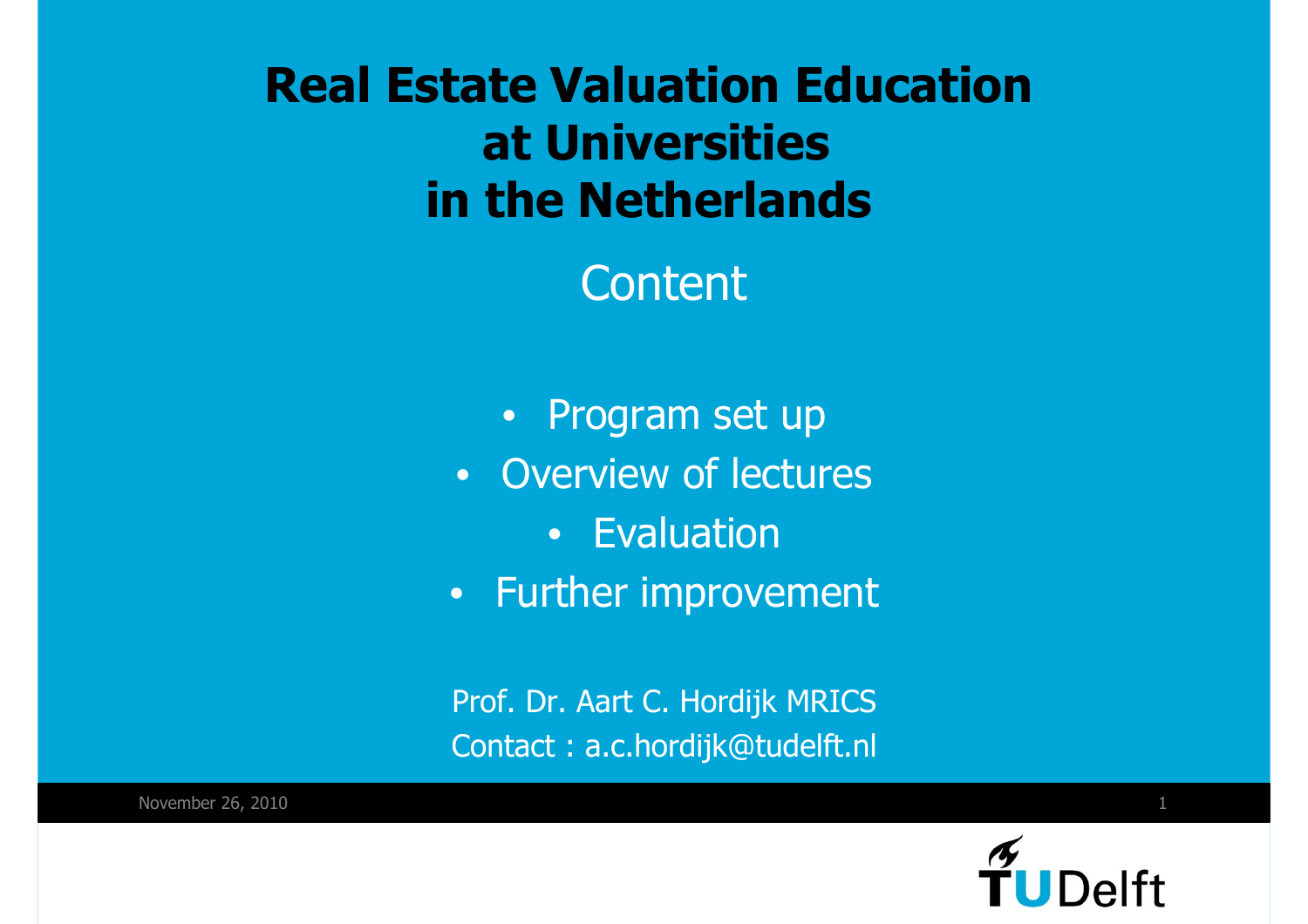**Real Estate Valuation Educationat Universities in the Netherlands**

**Content** 

- Program set up
- Overview of lectures
	- Evaluation
- Further improvement

Prof. Dr. Aart C. Hordijk MRICSContact : a.c.hordijk@tudelft.nl

November 26, 2010 $\sim$  1

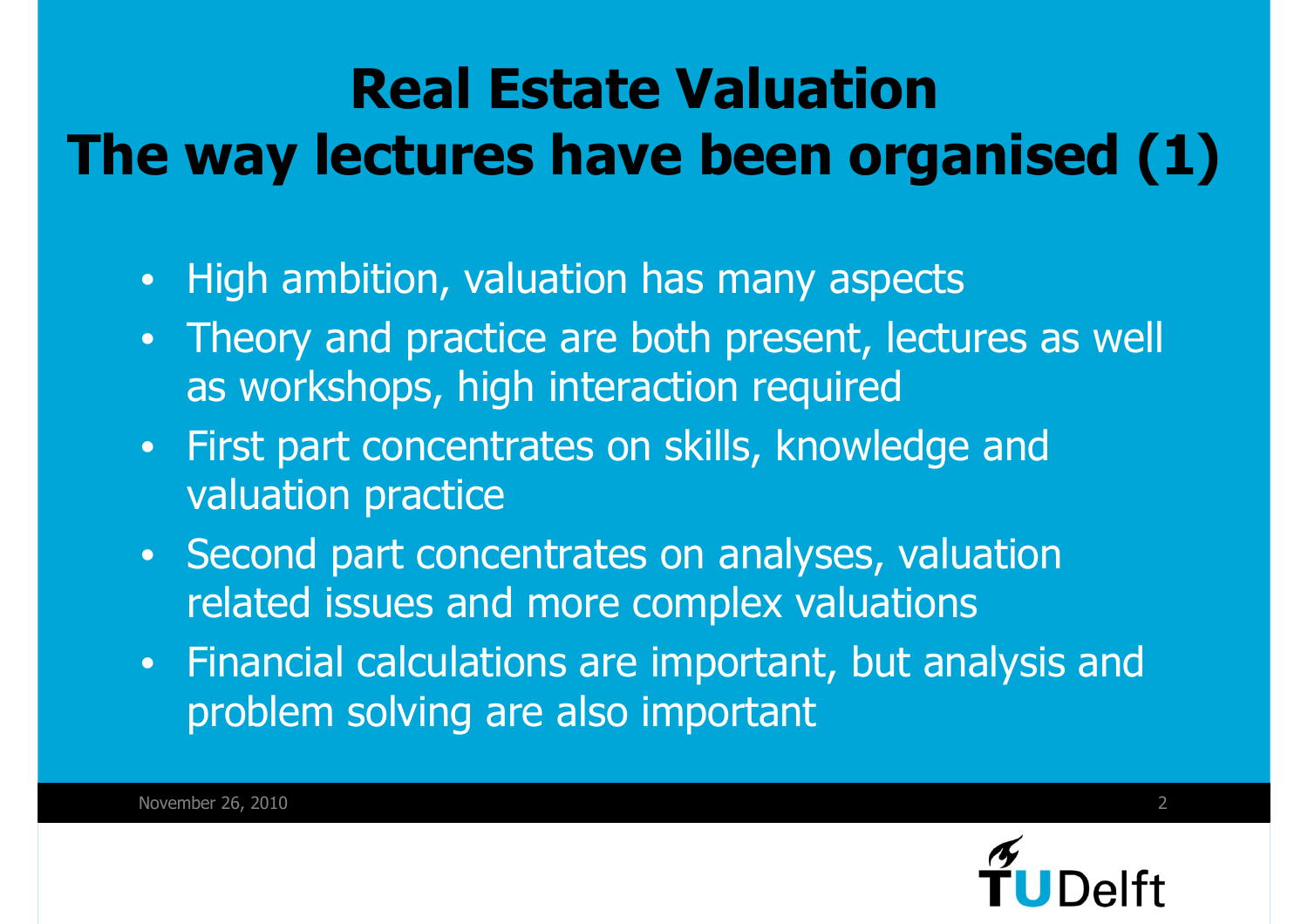### **Real Estate ValuationThe way lectures have been organised (1)**

- •High ambition, valuation has many aspects
- • Theory and practice are both present, lectures as well as workshops, high interaction required
- • First part concentrates on skills, knowledge and valuation practice
- Second part concentrates on analyses, valuation related issues and more complex valuations
- $\bullet$  Financial calculations are important, but analysis and problem solving are also important

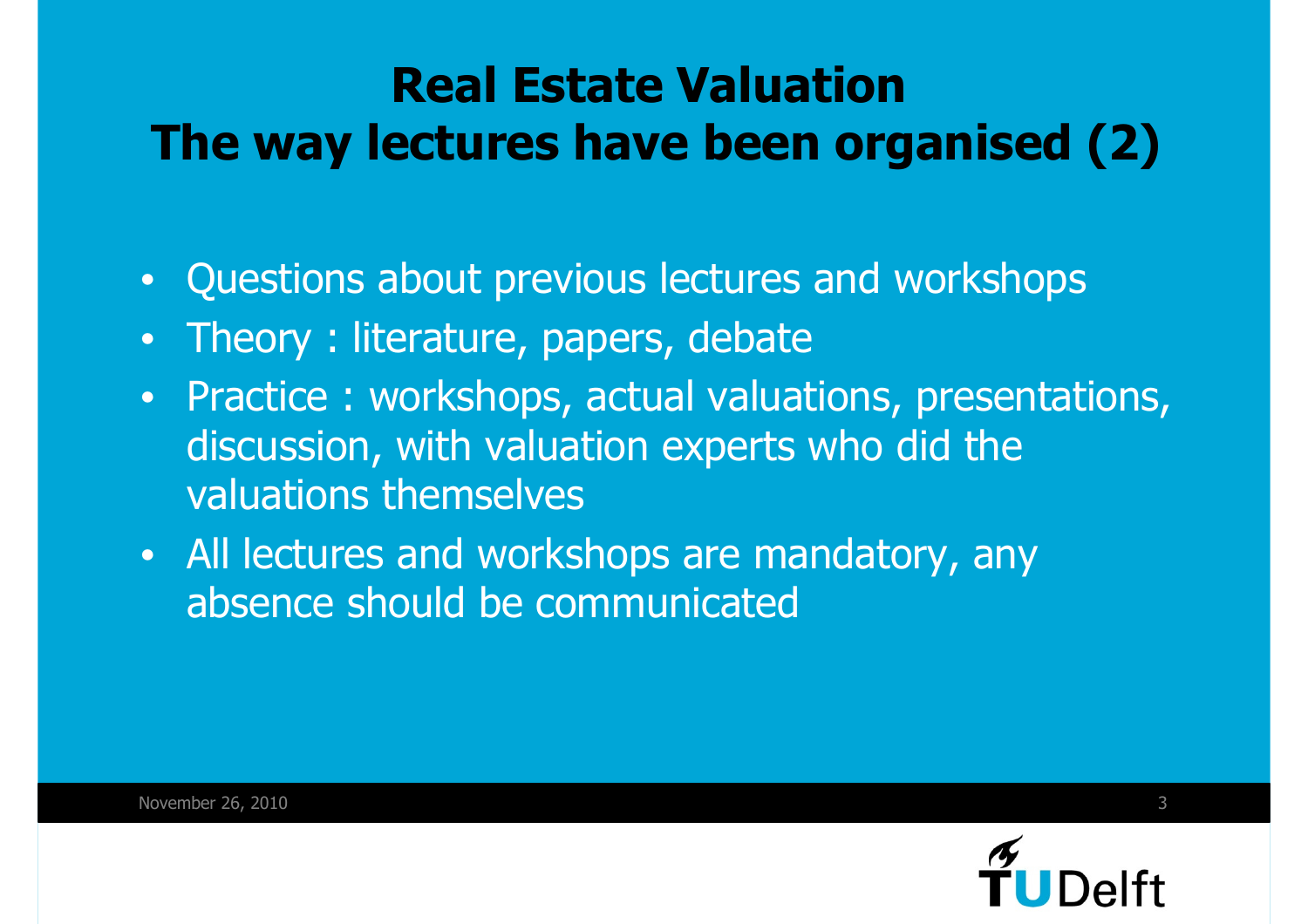### **Real Estate ValuationThe way lectures have been organised (2)**

- •Questions about previous lectures and workshops
- •Theory : literature, papers, debate
- • Practice : workshops, actual valuations, presentations, discussion, with valuation experts who did the valuations themselves
- All lectures and workshops are mandatory, any absence should be communicated

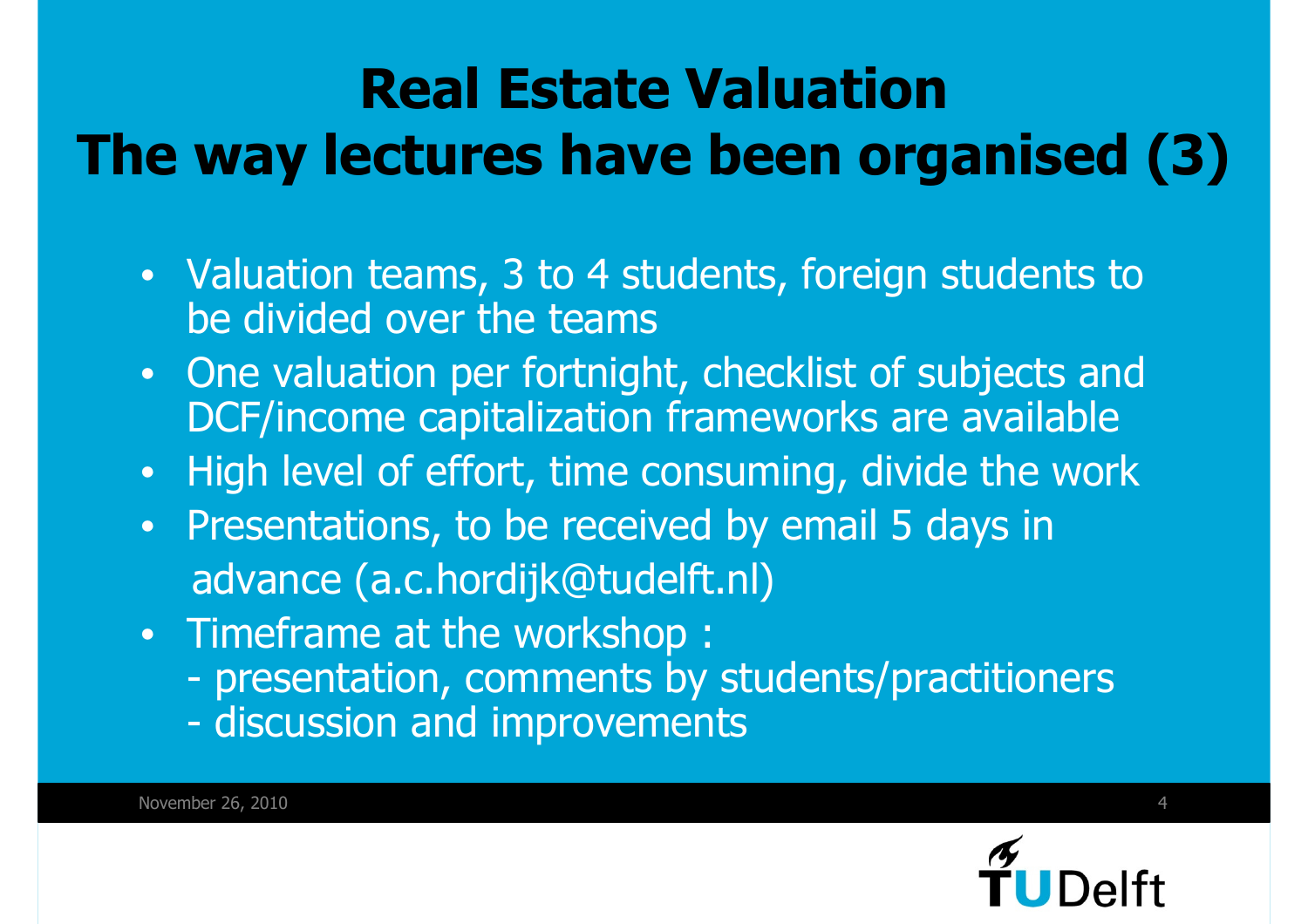### **Real Estate ValuationThe way lectures have been organised (3)**

- Valuation teams, 3 to 4 students, foreign students to be divided over the teams
- • One valuation per fortnight, checklist of subjects and DCF/income capitalization frameworks are available
- High level of effort, time consuming, divide the work •
- • Presentations, to be received by email 5 days inadvance (a.c.hordijk@tudelft.nl)
- Timeframe at the workshop :
	- presentation, comments by students/practitioners
	- discussion and improvements

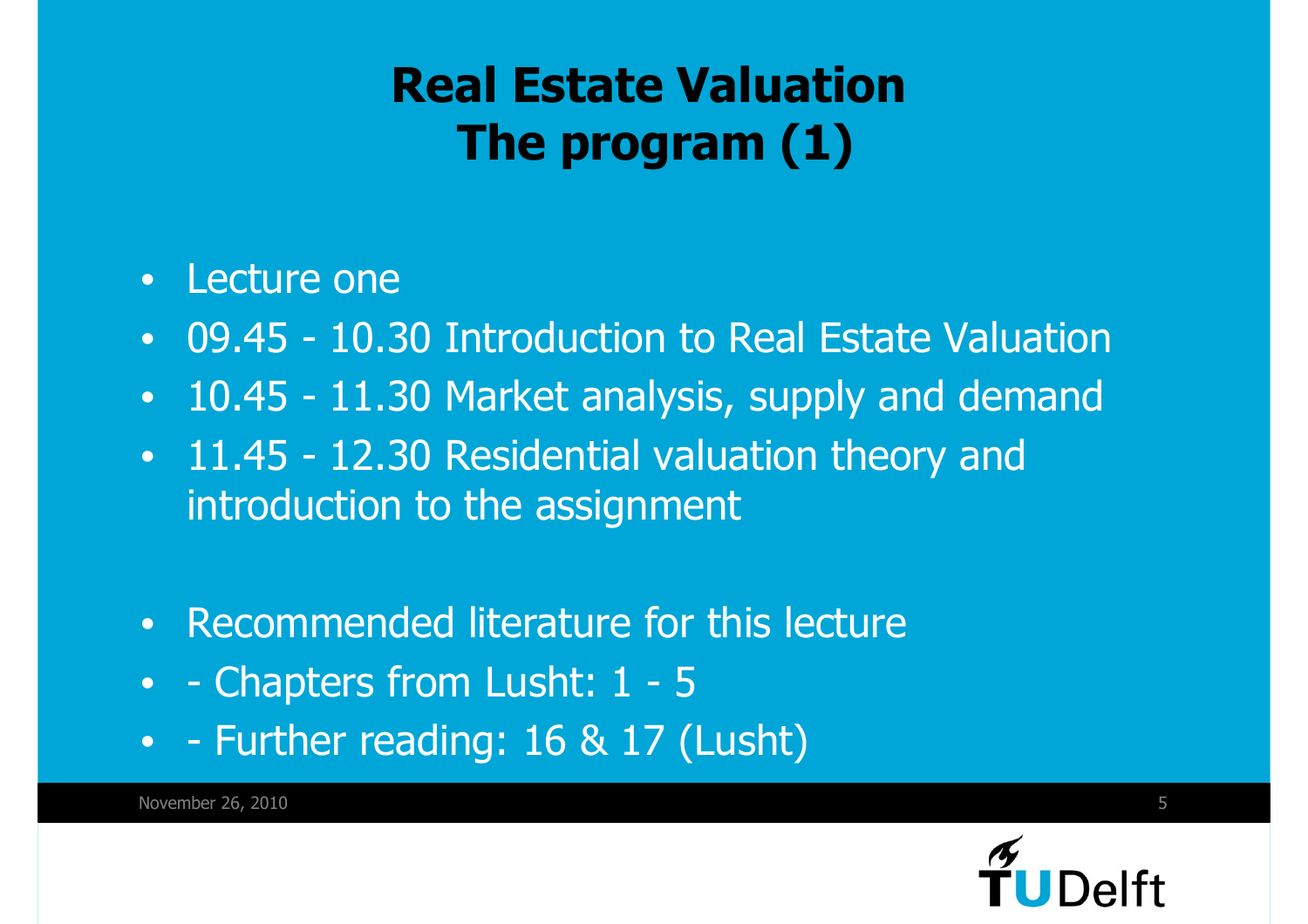### **Real Estate ValuationThe program (1)**

#### •Lecture one

- •09.45 - 10.30 Introduction to Real Estate Valuation
- •10.45 - 11.30 Market analysis, supply and demand
- 11.45 12.30 Residential valuation theory and introduction to the assignment
- •Recommended literature for this lecture
- - Chapters from Lusht: 1 5<br>Further reading: 16.8, 17.4
- - Further reading: 16 & 17 (Lusht)



November 26, 2010 $\sim$  5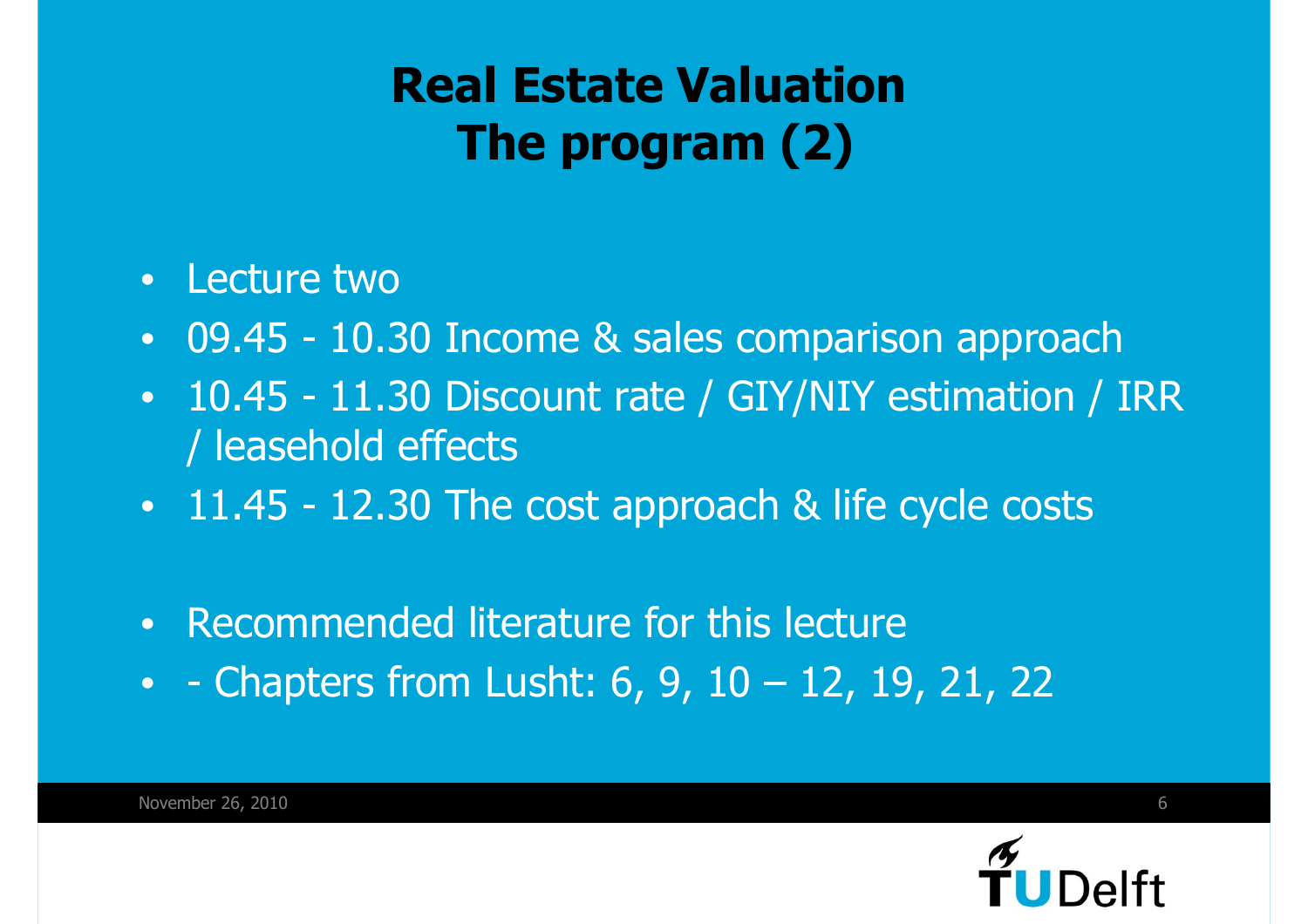### **Real Estate ValuationThe program (2)**

- •Lecture two
- •09.45 - 10.30 Income & sales comparison approach
- • 10.45 - 11.30 Discount rate / GIY/NIY estimation / IRR / leasehold effects
- 11.45 12.30 The cost approach & life cycle costs
- •Recommended literature for this lecture
- - Chapters from Lusht: 6, 9, 10 12, 19, 21, 22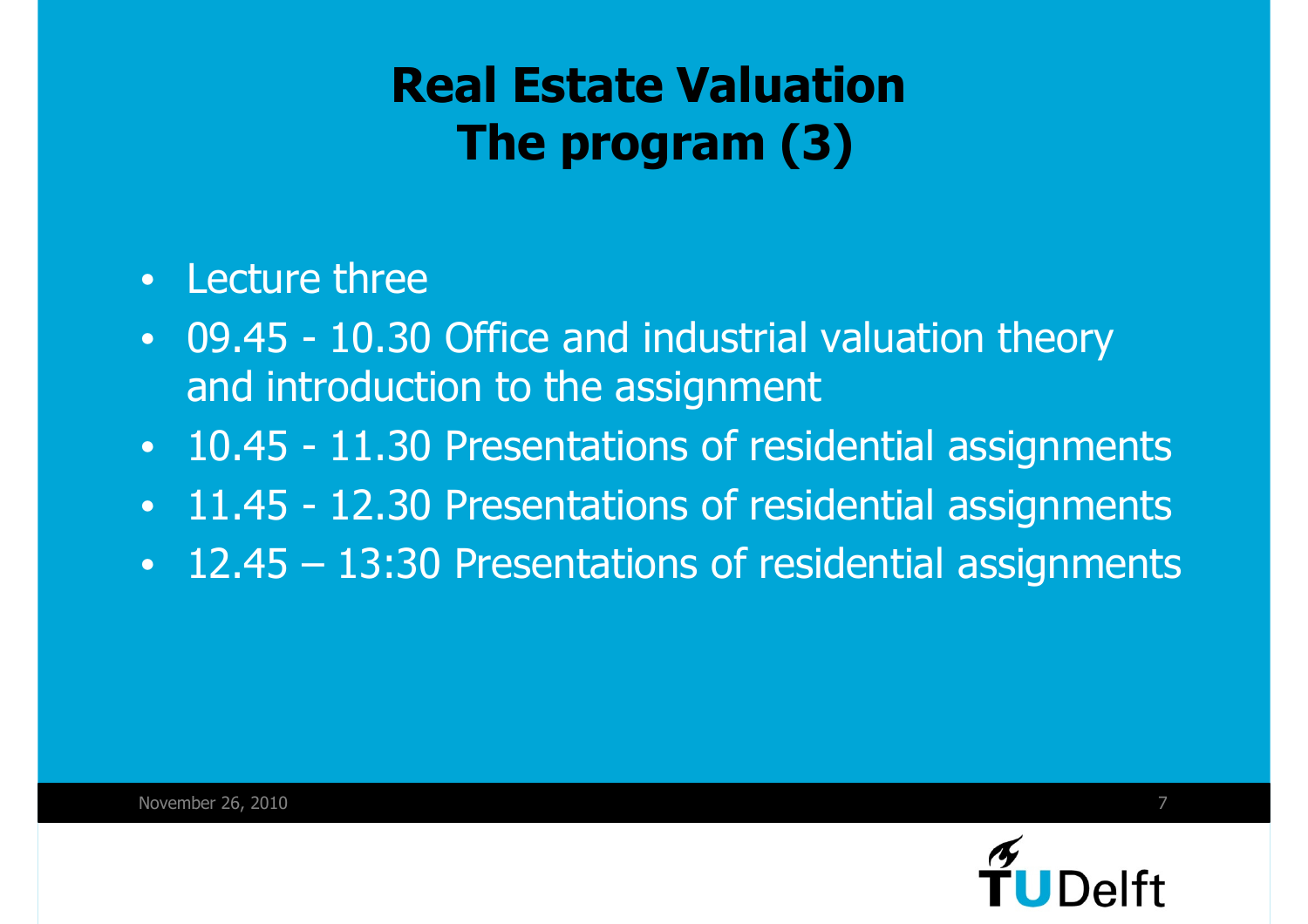### **Real Estate ValuationThe program (3)**

- •Lecture three
- • 09.45 - 10.30 Office and industrial valuation theory and introduction to the assignment
- •10.45 - 11.30 Presentations of residential assignments
- •11.45 - 12.30 Presentations of residential assignments
- 12.45 13:30 Presentations of residential assignments

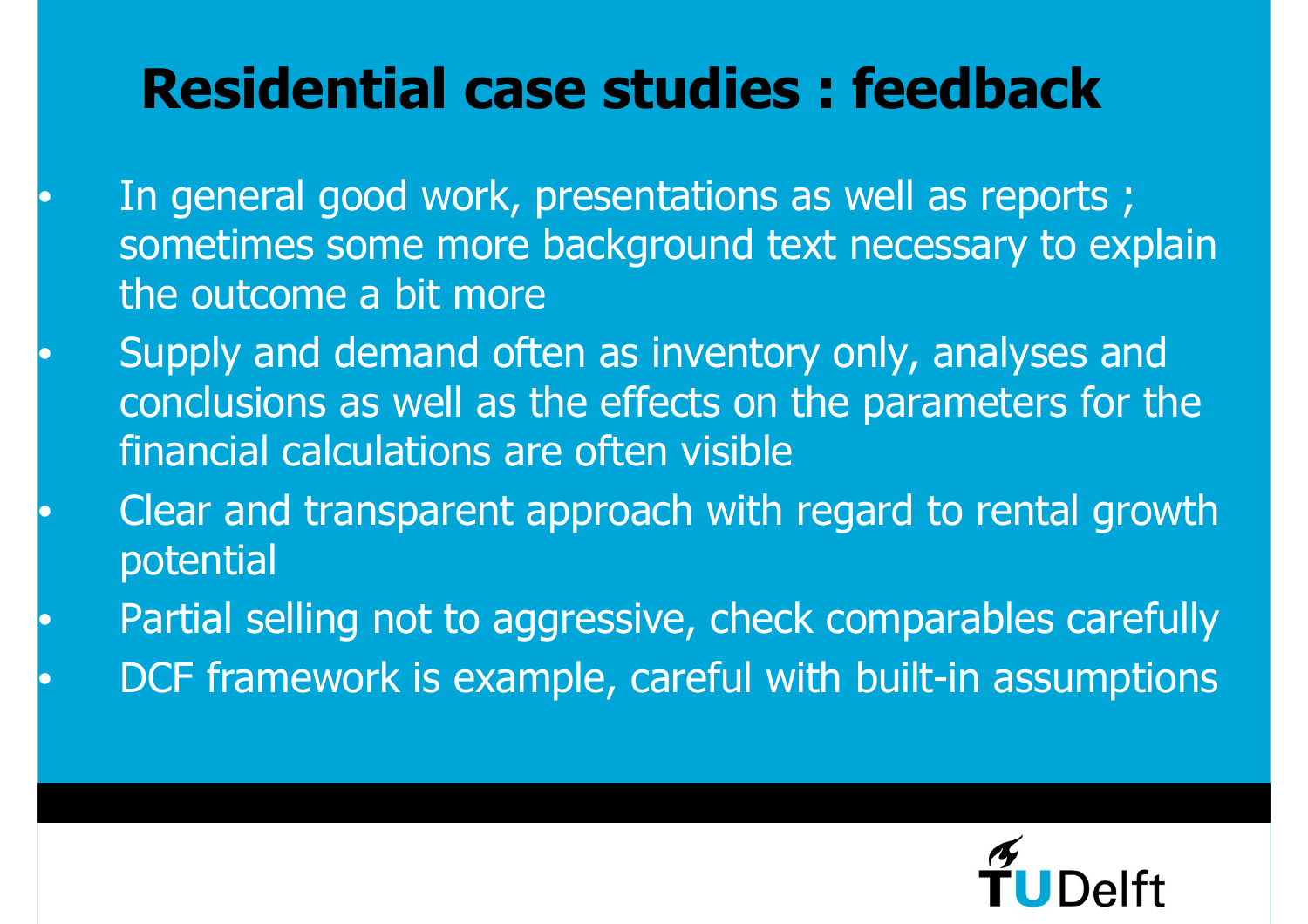### **Residential case studies : feedback**

 $\bullet$ 

 $\bullet$ 

 $\bullet$ 

 $\bullet$ 

 $\bullet$ 

- In general good work, presentations as well as reports ; sometimes some more background text necessary to explain the outcome a bit more
- Supply and demand often as inventory only, analyses and conclusions as well as the effects on the parameters for the financial calculations are often visible
- Clear and transparent approach with regard to rental growth potential
- Partial selling not to aggressive, check comparables carefullyDCF framework is example, careful with built-in assumptions

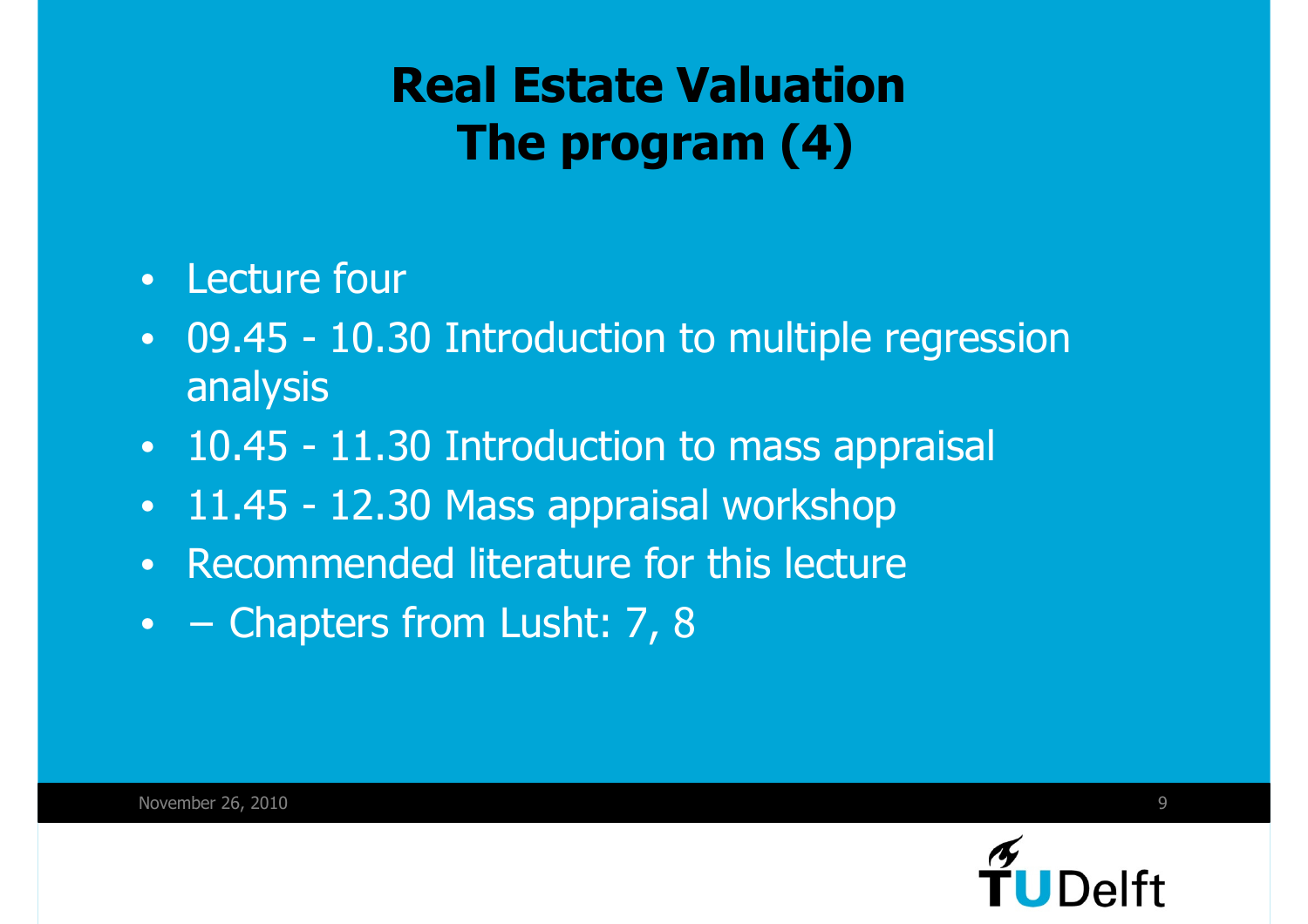### **Real Estate ValuationThe program (4)**

- Lecture four
- • 09.45 - 10.30 Introduction to multiple regression analysis
- 10.45 11.30 Introduction to mass appraisal<br>- 11.45 12.20 Mass appraisal warkshap
- •11.45 - 12.30 Mass appraisal workshop
- •Recommended literature for this lecture
- – Chapters from Lusht: 7, 8

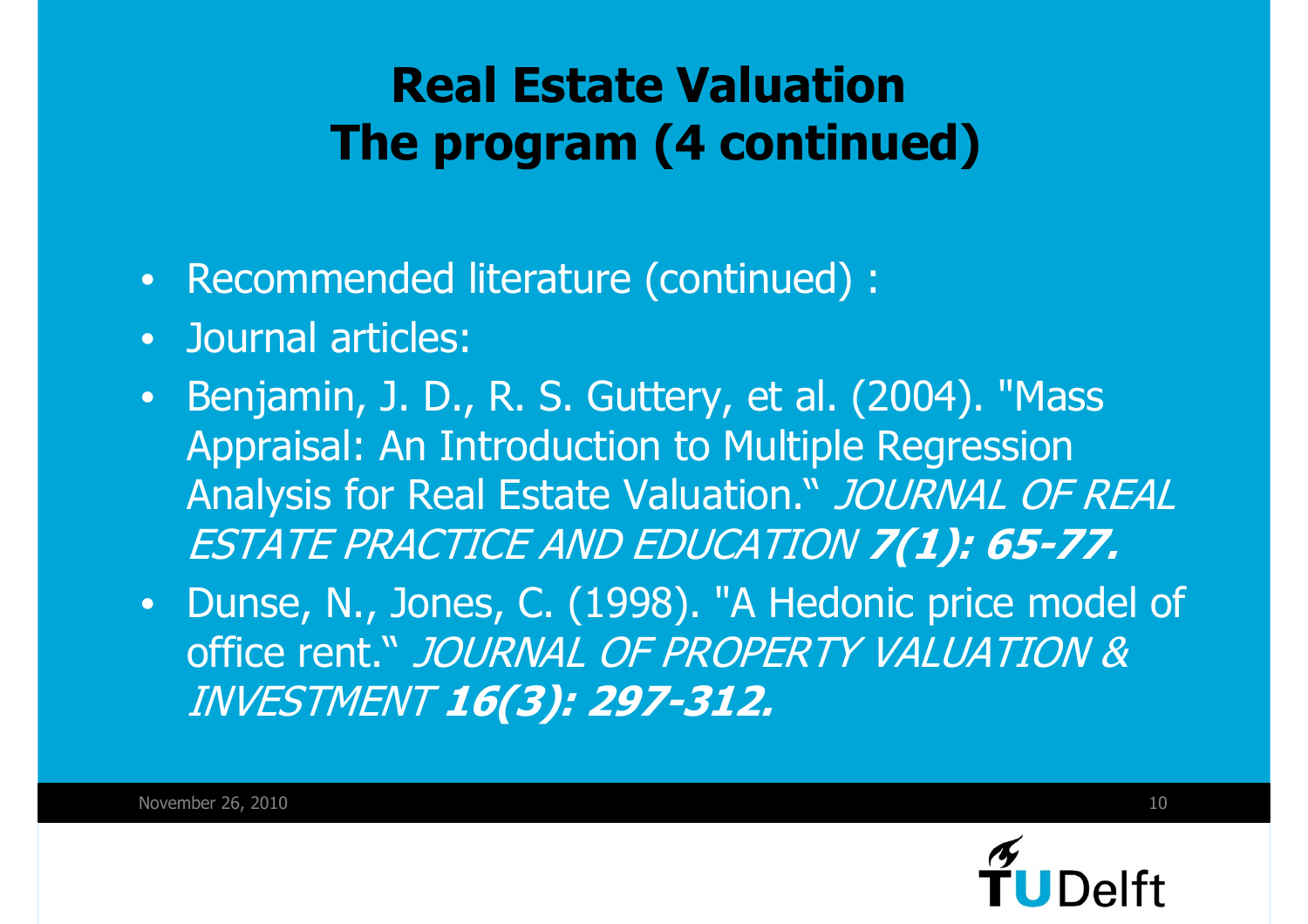### **Real Estate ValuationThe program (4 continued)**

- •Recommended literature (continued) :
- •**Journal articles:**
- • Benjamin, J. D., R. S. Guttery, et al. (2004). "Mass Appraisal: An Introduction to Multiple Regression Analysis for Real Estate Valuation." JOURNAL OF REAL ESTATE PRACTICE AND EDUCATION **7(1): 65-77.**
- • Dunse, N., Jones, C. (1998). "A Hedonic price model of office rent." *JOURNAL OF PROPERTY VALUATION &* INVESTMENT **16(3): 297-312.**

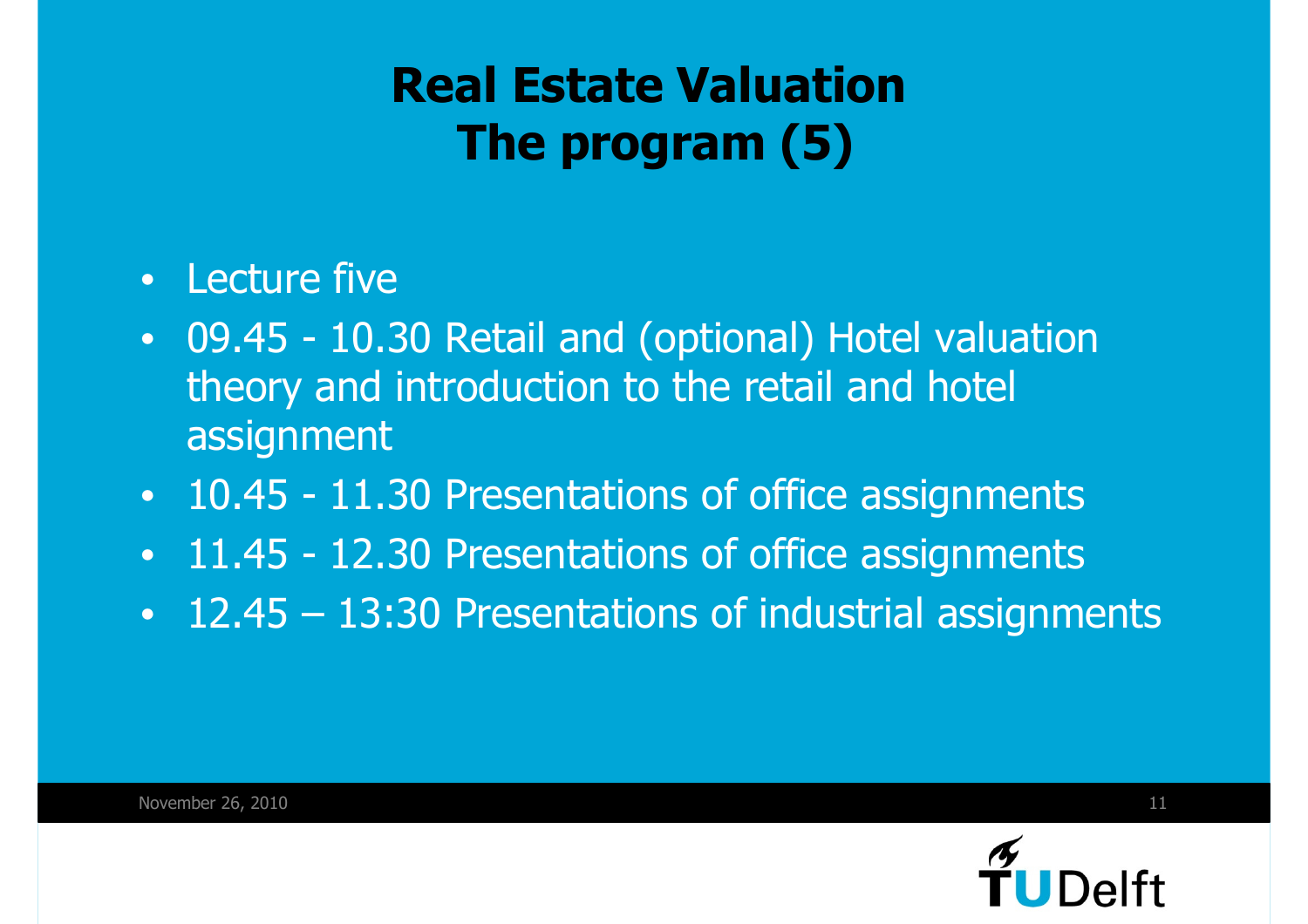### **Real Estate ValuationThe program (5)**

- •Lecture five
- $\bullet$  09.45 - 10.30 Retail and (optional) Hotel valuation theory and introduction to the retail and hotel assignment
- •10.45 - 11.30 Presentations of office assignments
- $\bullet$ 11.45 - 12.30 Presentations of office assignments
- 12.45 13:30 Presentations of industrial assignments

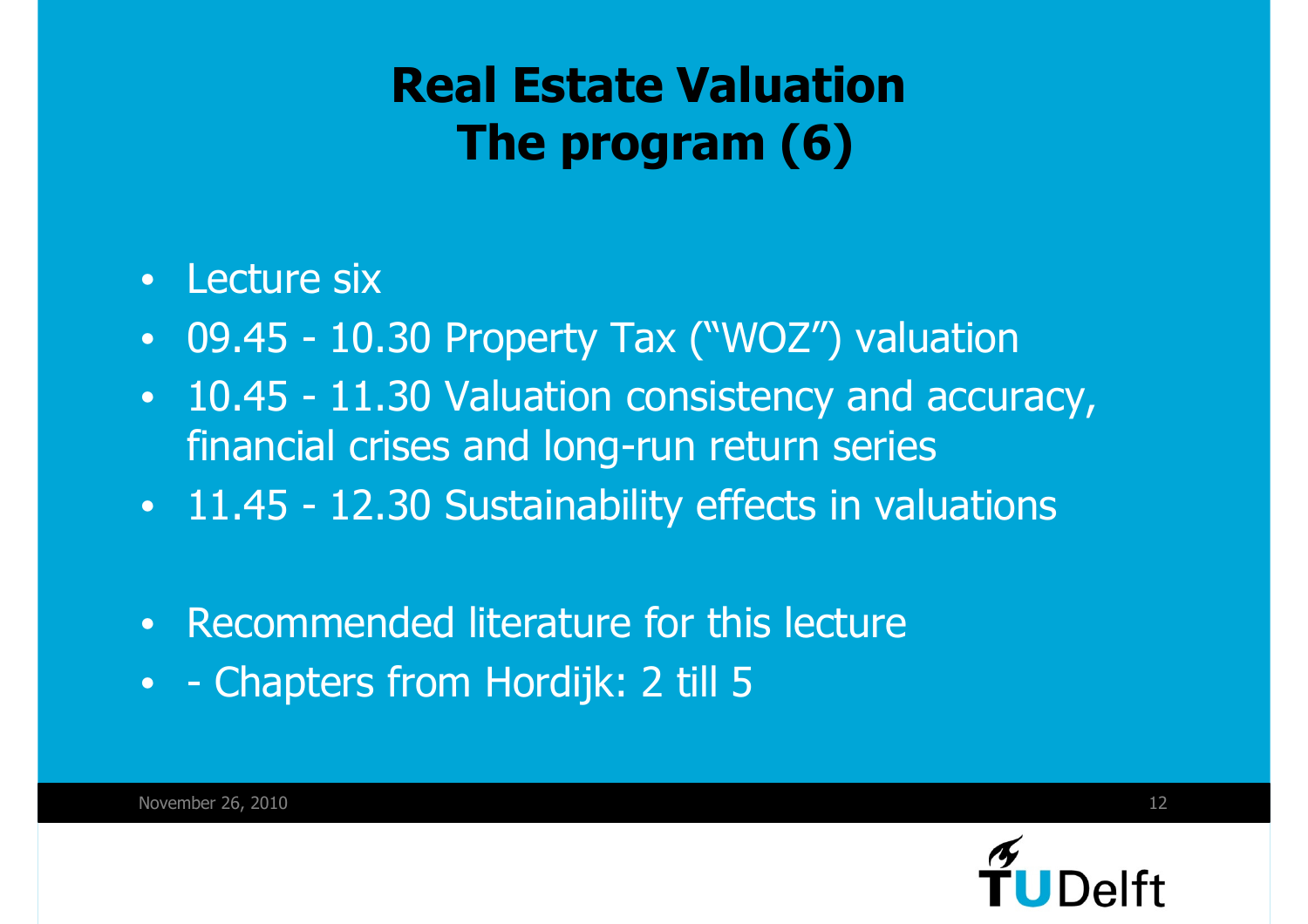### **Real Estate ValuationThe program (6)**

- •Lecture six
- •09.45 - 10.30 Property Tax ("WOZ") valuation
- • 10.45 - 11.30 Valuation consistency and accuracy, financial crises and long-run return series
- 11.45 12.30 Sustainability effects in valuations
- •Recommended literature for this lecture
- - Chapters from Hordijk: 2 till 5

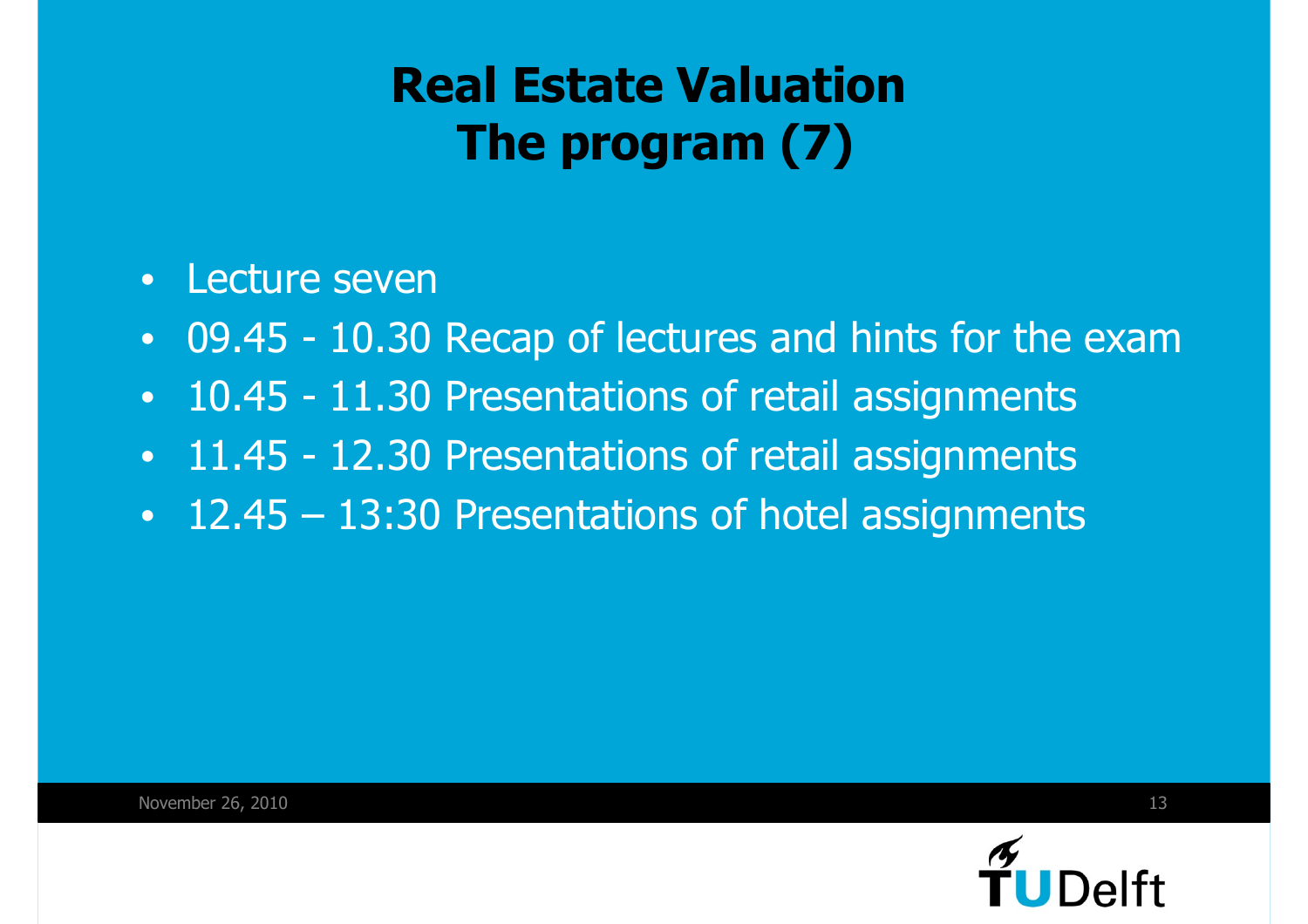### **Real Estate ValuationThe program (7)**

- •Lecture seven
- •09.45 - 10.30 Recap of lectures and hints for the exam
- •10.45 - 11.30 Presentations of retail assignments
- •11.45 - 12.30 Presentations of retail assignments
- 12.45 13:30 Presentations of hotel assignments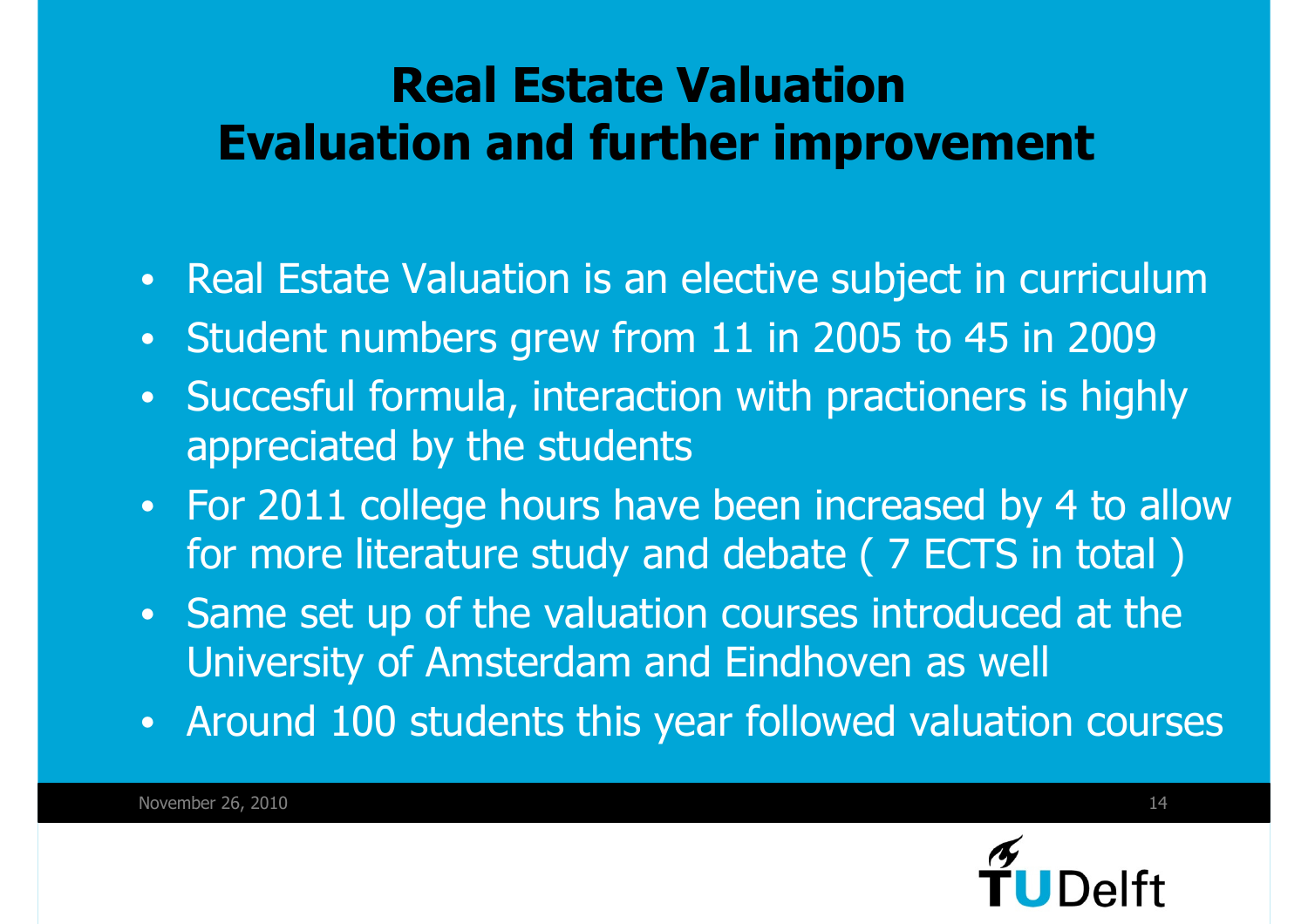### **Real Estate ValuationEvaluation and further improvement**

- •Real Estate Valuation is an elective subject in curriculum
- •Student numbers grew from 11 in 2005 to 45 in 2009
- • Succesful formula, interaction with practioners is highly appreciated by the students
- • For 2011 college hours have been increased by 4 to allow for more literature study and debate ( 7 ECTS in total )
- Same set up of the valuation courses introduced at the University of Amsterdam and Eindhoven as well
- Around 100 students this year followed valuation courses

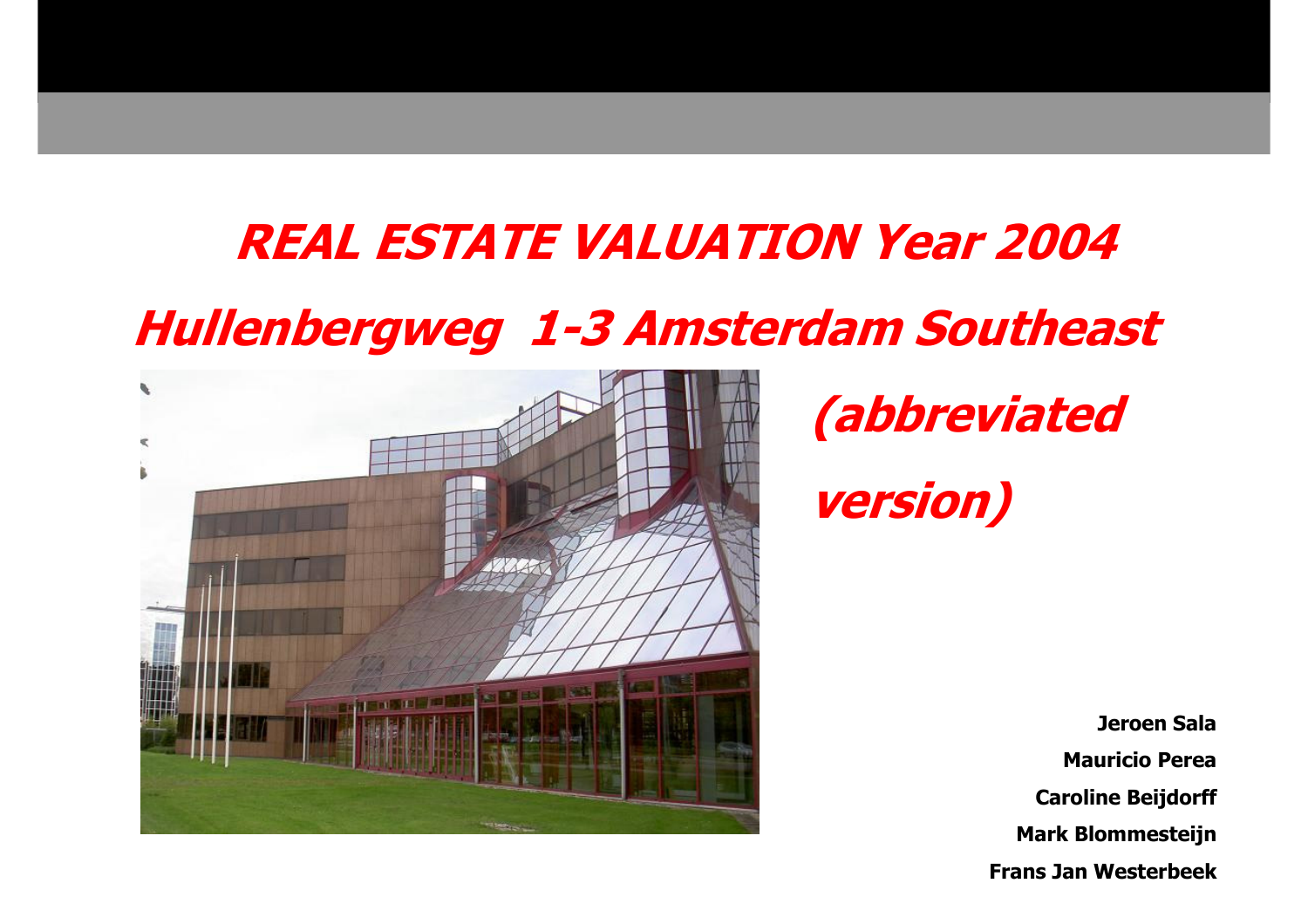### **REAL ESTATE VALUATION Year 2004**

### **Hullenbergweg 1-3 Amsterdam Southeast**



## **(abbreviatedversion)**

**Jeroen Sala Mauricio PereaCaroline BeijdorffMark BlommesteijnFrans Jan Westerbeek**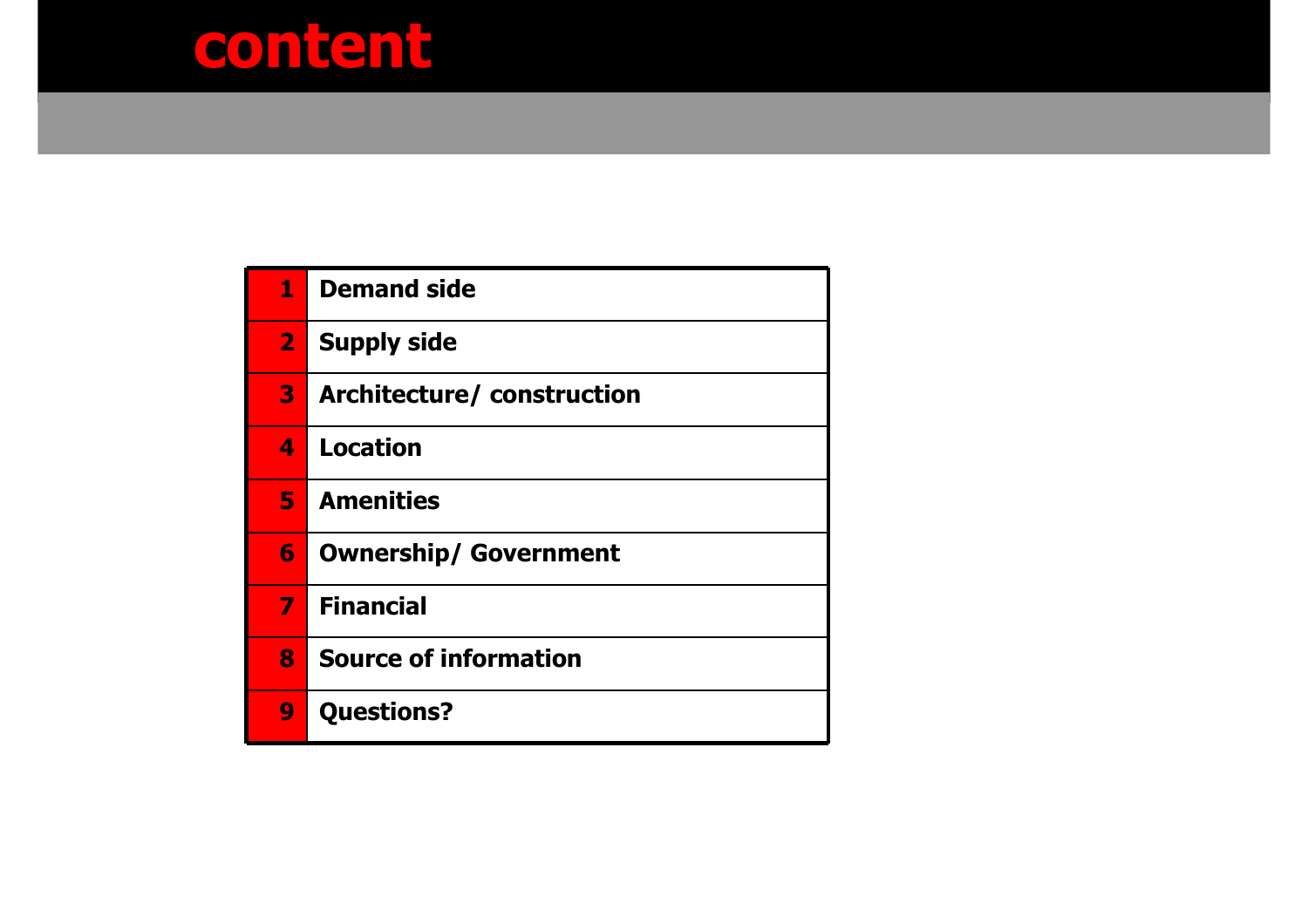### **content**

| $\mathbf{1}$   | Demand side                  |
|----------------|------------------------------|
|                | <b>2</b> Supply side         |
| 3              | Architecture/construction    |
| 4              | <b>Location</b>              |
| 5.             | <b>Amenities</b>             |
| 6              | <b>Ownership/ Government</b> |
| $\overline{I}$ | <b>Financial</b>             |
| 8              | <b>Source of information</b> |
| 9              | <b>Questions?</b>            |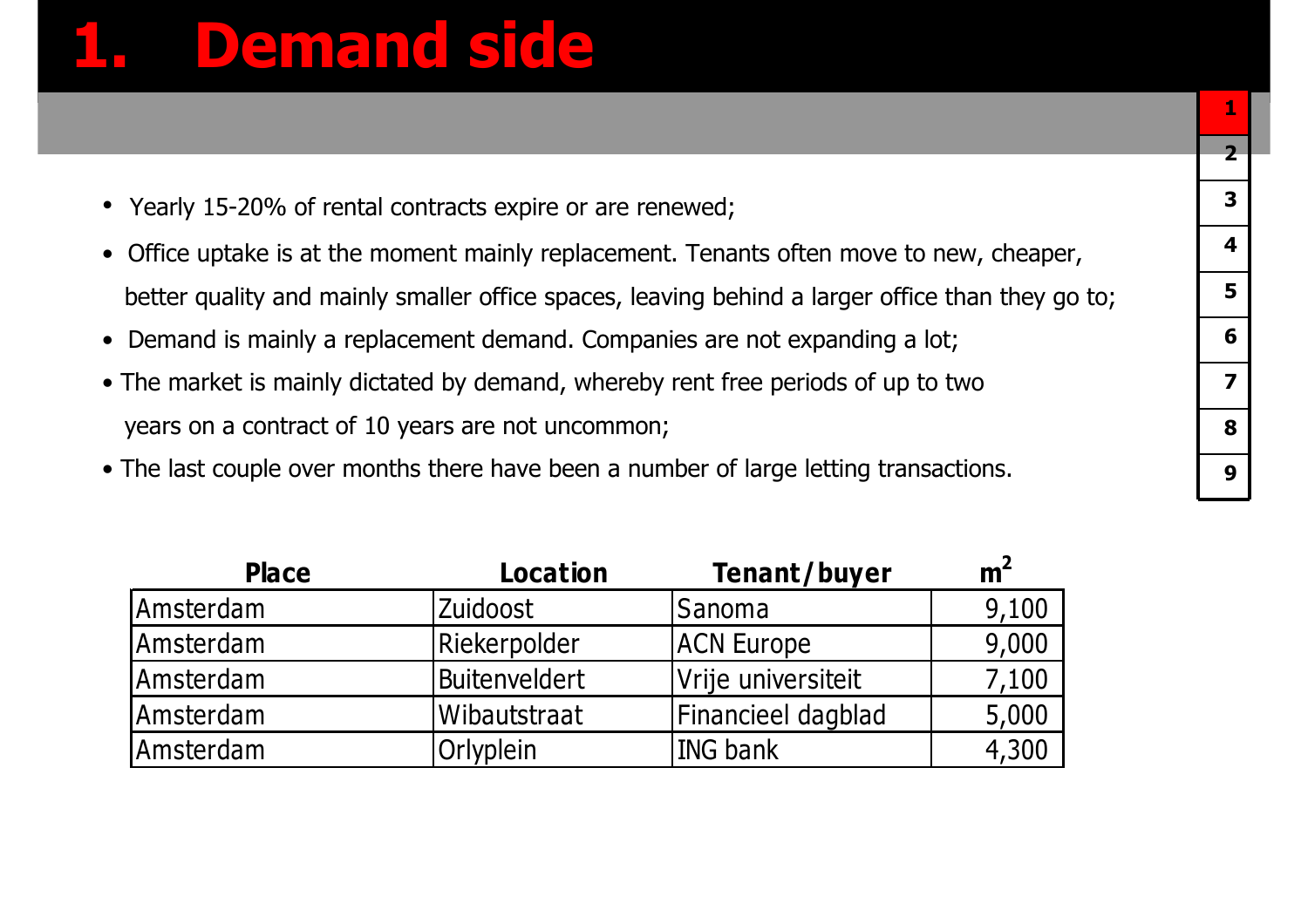### **1. Demand side**

- Yearly 15-20% of rental contracts expire or are renewed;
- Office uptake is at the moment mainly replacement. Tenants often move to new, cheaper, better quality and mainly smaller office spaces, leaving behind a larger office than they go to;
- Demand is mainly a replacement demand. Companies are not expanding a lot;
- The market is mainly dictated by demand, whereby rent free periods of up to two years on a contract of 10 years are not uncommon;
- The last couple over months there have been a number of large letting transactions.

| <b>Place</b> | <b>Location</b> | Tenant/buyer       | m <sup>2</sup> |
|--------------|-----------------|--------------------|----------------|
| Amsterdam    | <b>Zuidoost</b> | <b>Sanoma</b>      | 9,100          |
| Amsterdam    | Riekerpolder    | <b>ACN Europe</b>  | 9,000          |
| Amsterdam    | Buitenveldert   | Vrije universiteit | 7,100          |
| Amsterdam    | Wibautstraat    | Financieel dagblad | 5,000          |
| Amsterdam    | Orlyplein       | ING bank           | 4,300          |
|              |                 |                    |                |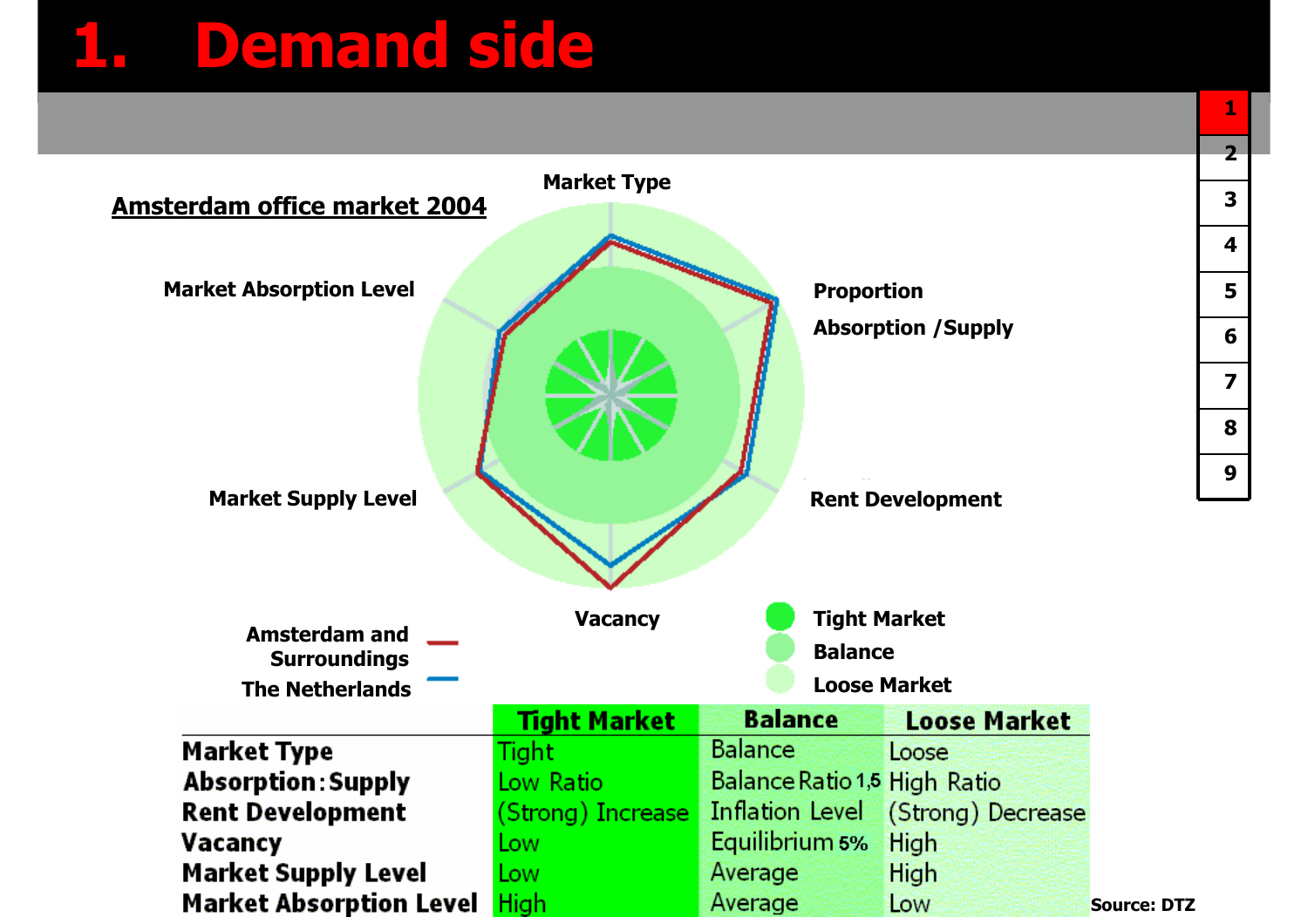## **1. Demand side**

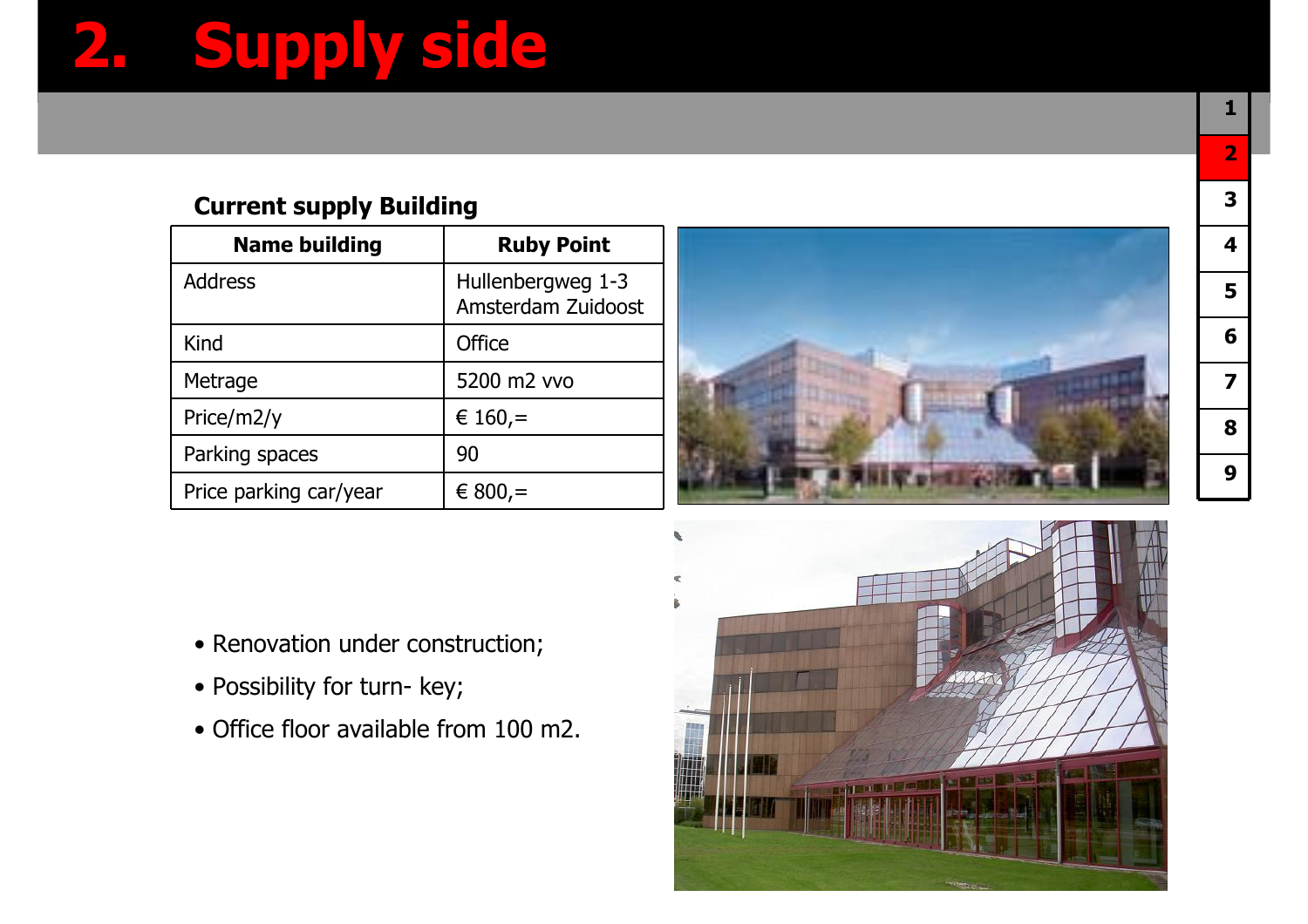# **2. Supply side**

#### **Current supply Building**

| <b>Name building</b>   | <b>Ruby Point</b>                       |
|------------------------|-----------------------------------------|
| <b>Address</b>         | Hullenbergweg 1-3<br>Amsterdam Zuidoost |
| Kind                   | Office                                  |
| Metrage                | 5200 m2 vvo                             |
| Price/m2/y             | € 160,=                                 |
| Parking spaces         | 90                                      |
| Price parking car/year | $€ 800 =$                               |



- Renovation under construction;
- Possibility for turn- key;
- Office floor available from 100 m2.

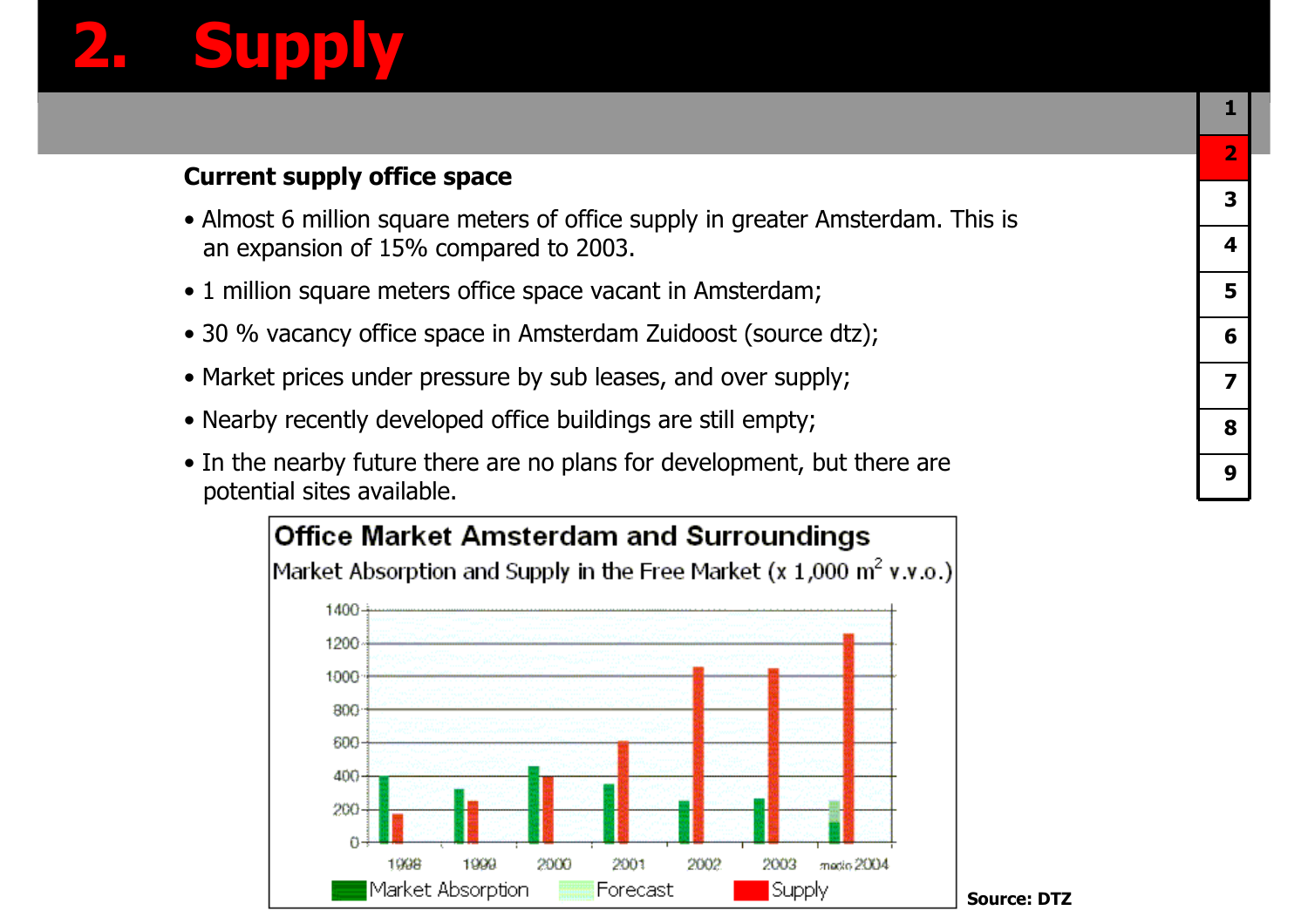# **2. Supply**

#### **Current supply office space**

- Almost 6 million square meters of office supply in greater Amsterdam. This is an expansion of  $15\%$  compared to  $2003$ an expansion of 15% compared to 2003.
- 1 million square meters office space vacant in Amsterdam;
- 30 % vacancy office space in Amsterdam Zuidoost (source dtz);
- Market prices under pressure by sub leases, and over supply;
- Nearby recently developed office buildings are still empty;
- In the nearby future there are no plans for development, but there are notential sites available …potential sites available.

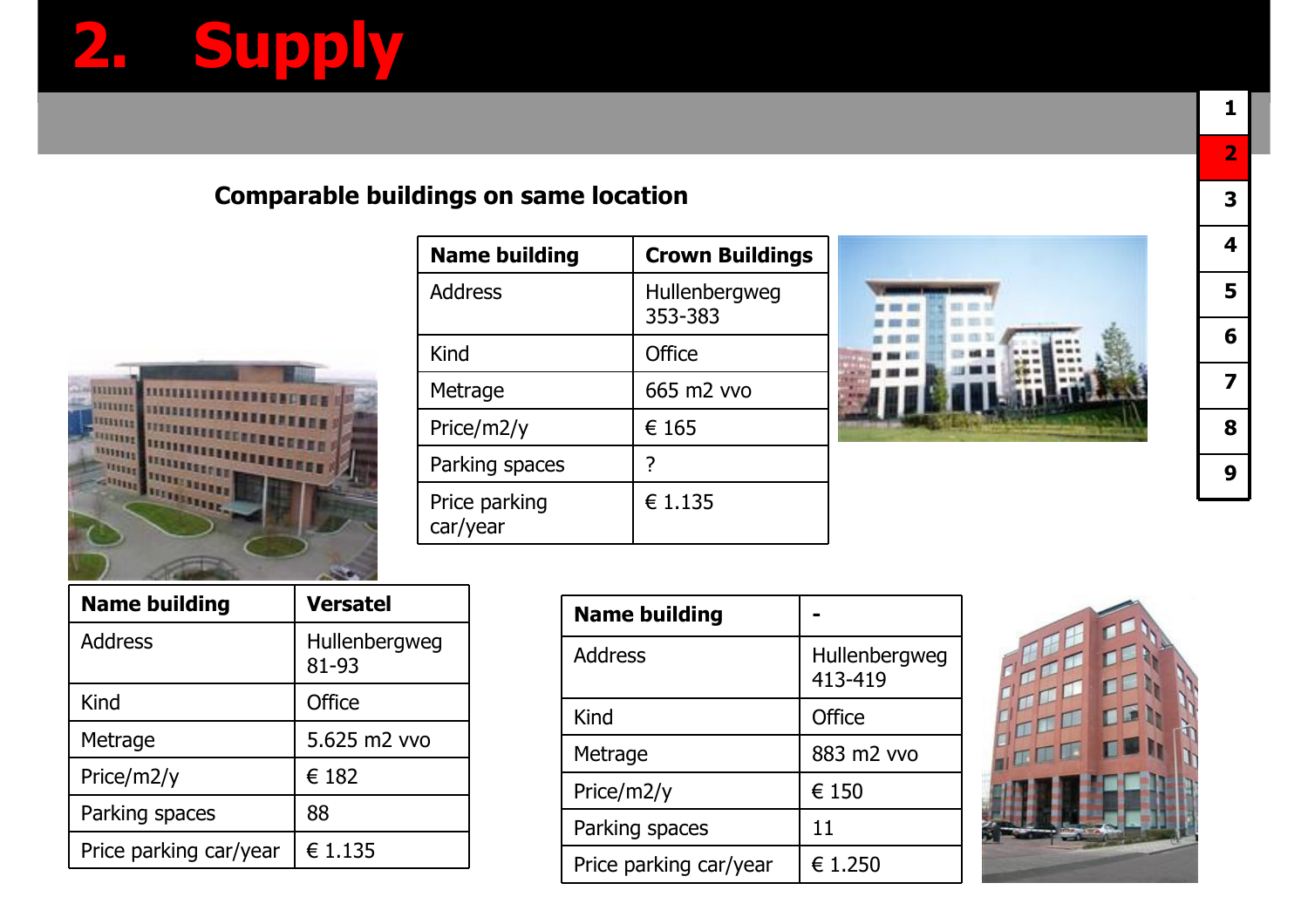# **2. Supply**

#### **Comparable buildings on same location**



| <b>Name building</b>      | <b>Crown Buildings</b>   |
|---------------------------|--------------------------|
| <b>Address</b>            | Hullenbergweg<br>353-383 |
| Kind                      | <b>Office</b>            |
| Metrage                   | 665 m2 vvo               |
| Price/m2/y                | € 165                    |
| Parking spaces            | 7                        |
| Price parking<br>car/year | € 1.135                  |



| 2 |
|---|
| 3 |
| 4 |
| 5 |
| 6 |
| 7 |
| 8 |
| 9 |

**1**

| <b>Name building</b>   | <b>Versatel</b>        |
|------------------------|------------------------|
| <b>Address</b>         | Hullenbergweg<br>81-93 |
| Kind                   | Office                 |
| Metrage                | 5.625 m2 vvo           |
| Price/m2/y             | € 182                  |
| Parking spaces         | 88                     |
| Price parking car/year | € 1.135                |

| <b>Name building</b>   |                          |
|------------------------|--------------------------|
| <b>Address</b>         | Hullenbergweg<br>413-419 |
| Kind                   | <b>Office</b>            |
| Metrage                | 883 m2 vvo               |
| Price/m2/y             | € 150                    |
| Parking spaces         | 11                       |
| Price parking car/year | € 1.250                  |

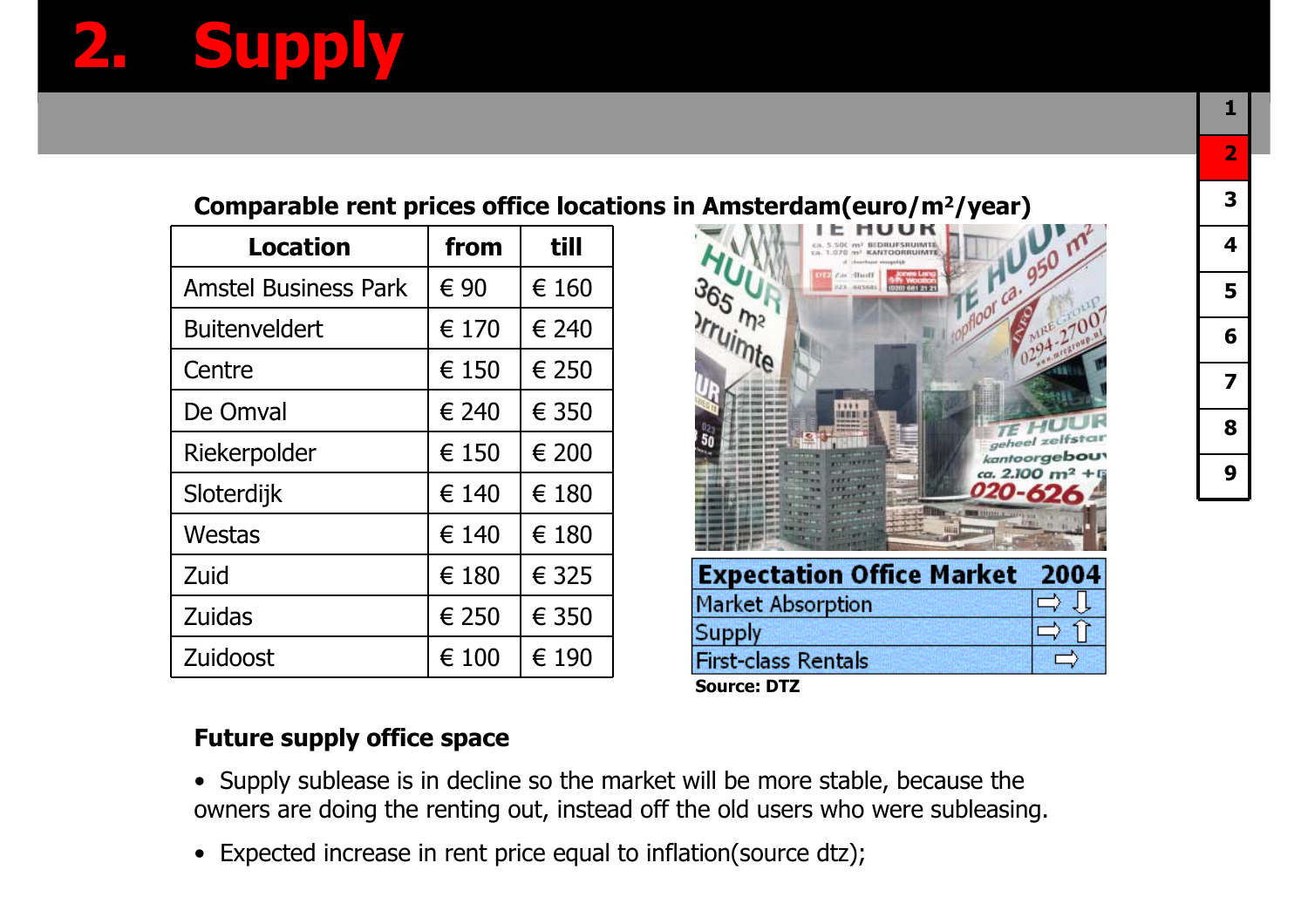#### **Comparable rent prices office locations in Amsterdam(euro/m2/year)**

| Location                    | from  | till  |
|-----------------------------|-------|-------|
| <b>Amstel Business Park</b> | € 90  | € 160 |
| <b>Buitenveldert</b>        | € 170 | € 240 |
| Centre                      | € 150 | € 250 |
| De Omval                    | € 240 | € 350 |
| Riekerpolder                | € 150 | € 200 |
| Sloterdijk                  | € 140 | € 180 |
| Westas                      | € 140 | € 180 |
| Zuid                        | € 180 | € 325 |
| <b>Zuidas</b>               | € 250 | € 350 |
| Zuidoost                    | € 100 | € 190 |



**Source: DTZ**

#### **Future supply office space**

- Supply sublease is in decline so the market will be more stable, because the owners are doing the renting out, instead off the old users who were subleasing.
- Expected increase in rent price equal to inflation(source dtz);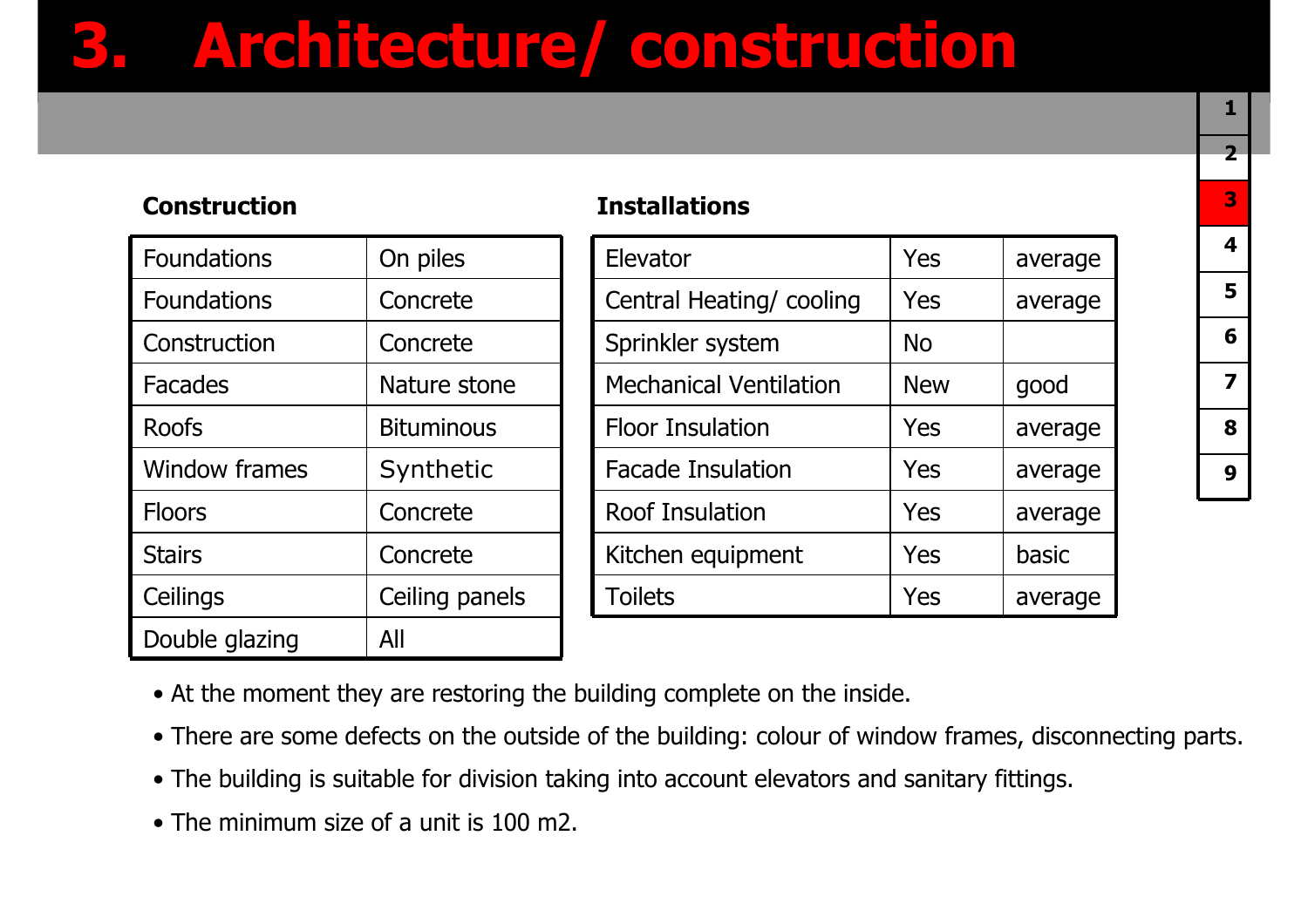## **3. Architecture/ construction**

#### **Construction Installations**

| <b>Foundations</b>   | On piles          |
|----------------------|-------------------|
| <b>Foundations</b>   | Concrete          |
| Construction         | Concrete          |
| <b>Facades</b>       | Nature stone      |
| <b>Roofs</b>         | <b>Bituminous</b> |
| <b>Window frames</b> | Synthetic         |
| <b>Floors</b>        | Concrete          |
| <b>Stairs</b>        | Concrete          |
| Ceilings             | Ceiling panels    |
| Double glazing       | All               |

| Elevator                      | Yes        | average |
|-------------------------------|------------|---------|
| Central Heating/cooling       | Yes        | average |
| Sprinkler system              | No         |         |
| <b>Mechanical Ventilation</b> | <b>New</b> | good    |
| <b>Floor Insulation</b>       | Yes        | average |
| <b>Facade Insulation</b>      | Yes        | average |
| <b>Roof Insulation</b>        | Yes        | average |
| Kitchen equipment             | Yes        | basic   |
| <b>Toilets</b>                | Yes        | average |
|                               |            |         |

- At the moment they are restoring the building complete on the inside.
- There are some defects on the outside of the building: colour of window frames, disconnecting parts.
- The building is suitable for division taking into account elevators and sanitary fittings.
- The minimum size of a unit is 100 m2.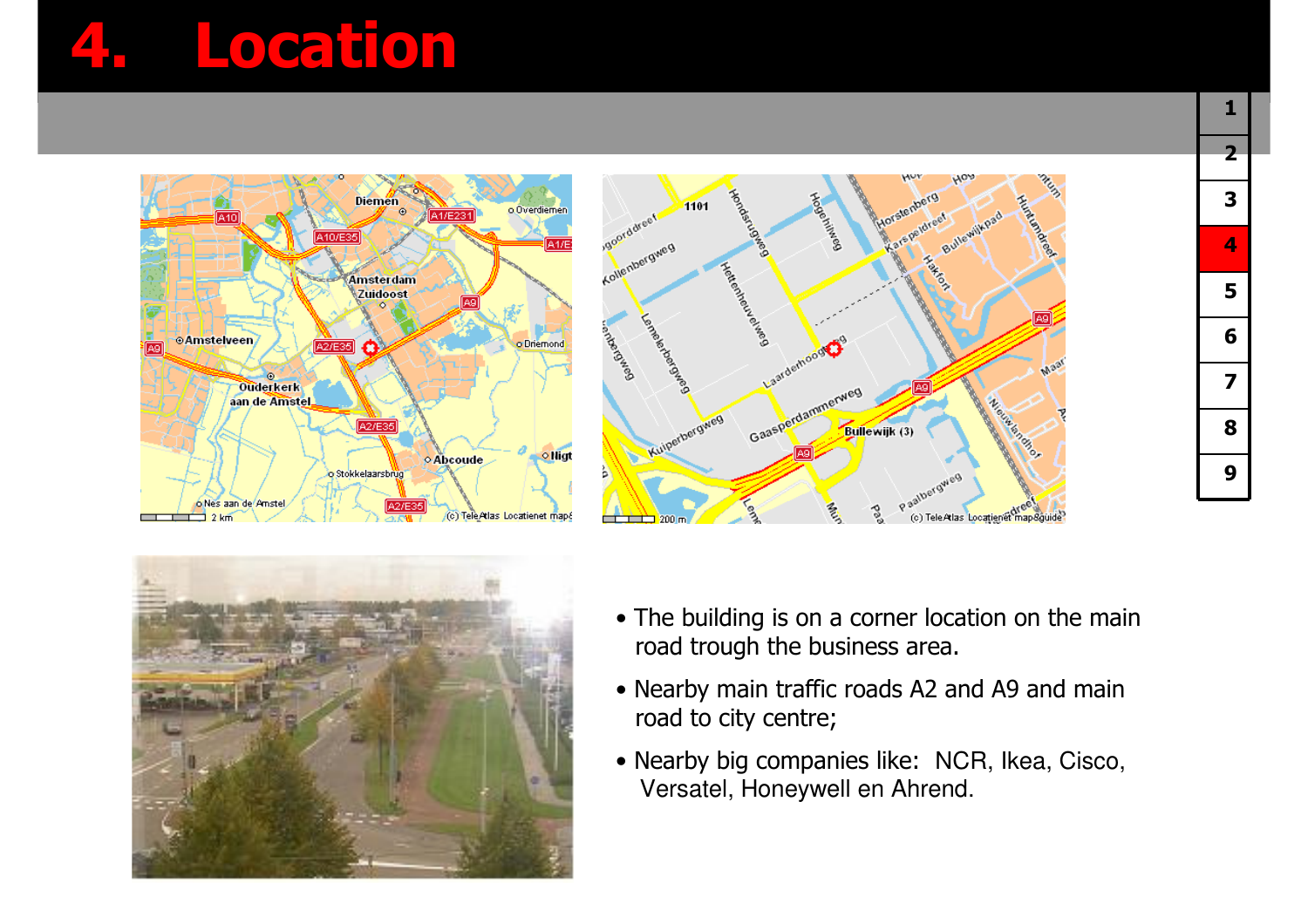## **4. Location**







- The building is on a corner location on the main<br>road trough the business area road trough the business area.
- Nearby main traffic roads A2 and A9 and main<br>…road to city centre: road to city centre;
- Nearby big companies like: NCR, Ikea, Cisco, Versatel, Honeywell en Ahrend.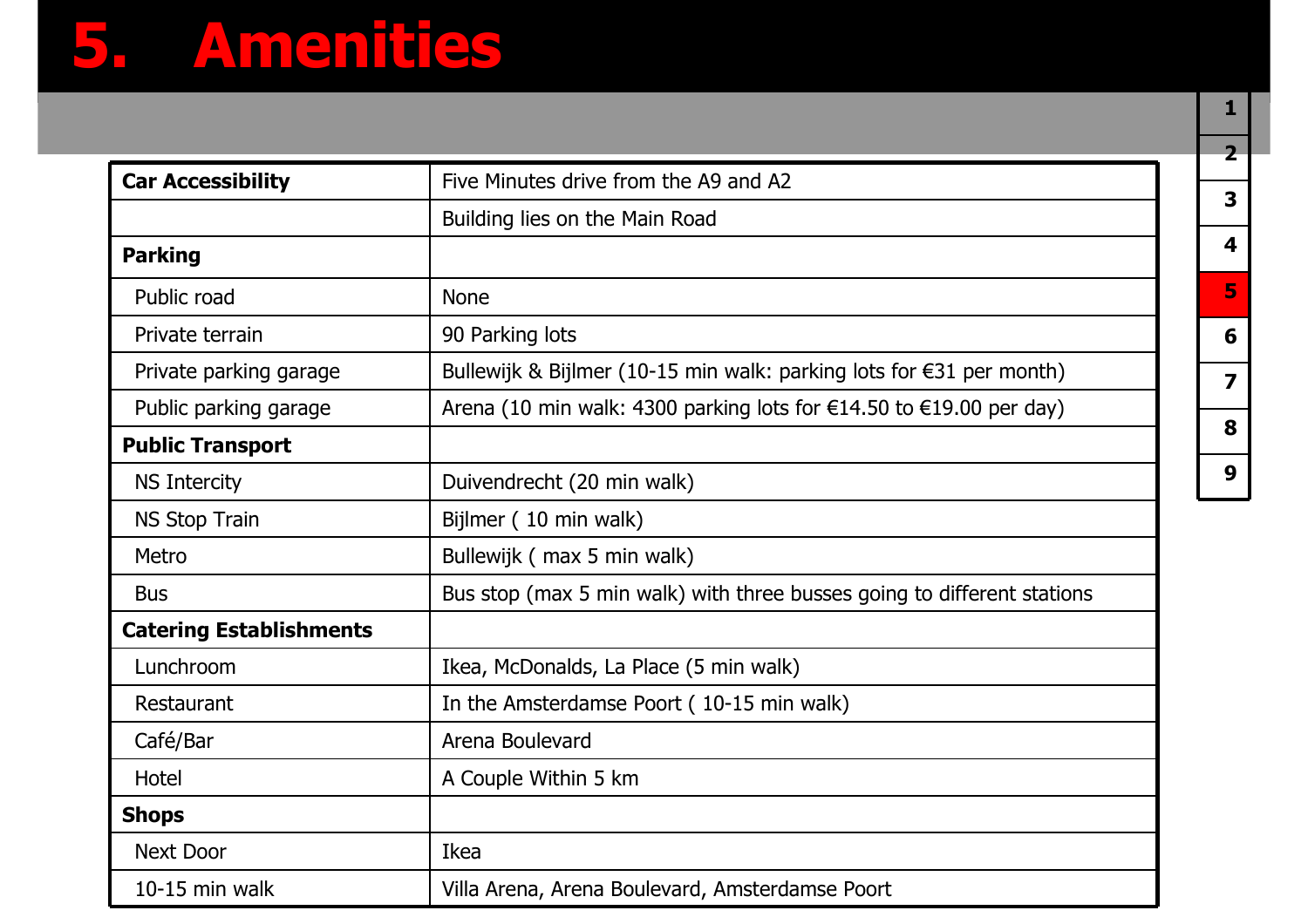## **5. Amenities**

| <b>Car Accessibility</b>       | Five Minutes drive from the A9 and A2                                                   |
|--------------------------------|-----------------------------------------------------------------------------------------|
|                                | Building lies on the Main Road                                                          |
| <b>Parking</b>                 |                                                                                         |
| Public road                    | <b>None</b>                                                                             |
| Private terrain                | 90 Parking lots                                                                         |
| Private parking garage         | Bullewijk & Bijlmer (10-15 min walk: parking lots for $\epsilon$ 31 per month)          |
| Public parking garage          | Arena (10 min walk: 4300 parking lots for $\epsilon$ 14.50 to $\epsilon$ 19.00 per day) |
| <b>Public Transport</b>        |                                                                                         |
| <b>NS Intercity</b>            | Duivendrecht (20 min walk)                                                              |
| <b>NS Stop Train</b>           | Bijlmer (10 min walk)                                                                   |
| Metro                          | Bullewijk (max 5 min walk)                                                              |
| <b>Bus</b>                     | Bus stop (max 5 min walk) with three busses going to different stations                 |
| <b>Catering Establishments</b> |                                                                                         |
| Lunchroom                      | Ikea, McDonalds, La Place (5 min walk)                                                  |
| Restaurant                     | In the Amsterdamse Poort (10-15 min walk)                                               |
| Café/Bar                       | Arena Boulevard                                                                         |
| Hotel                          | A Couple Within 5 km                                                                    |
| <b>Shops</b>                   |                                                                                         |
| <b>Next Door</b>               | Ikea                                                                                    |
| 10-15 min walk                 | Villa Arena, Arena Boulevard, Amsterdamse Poort                                         |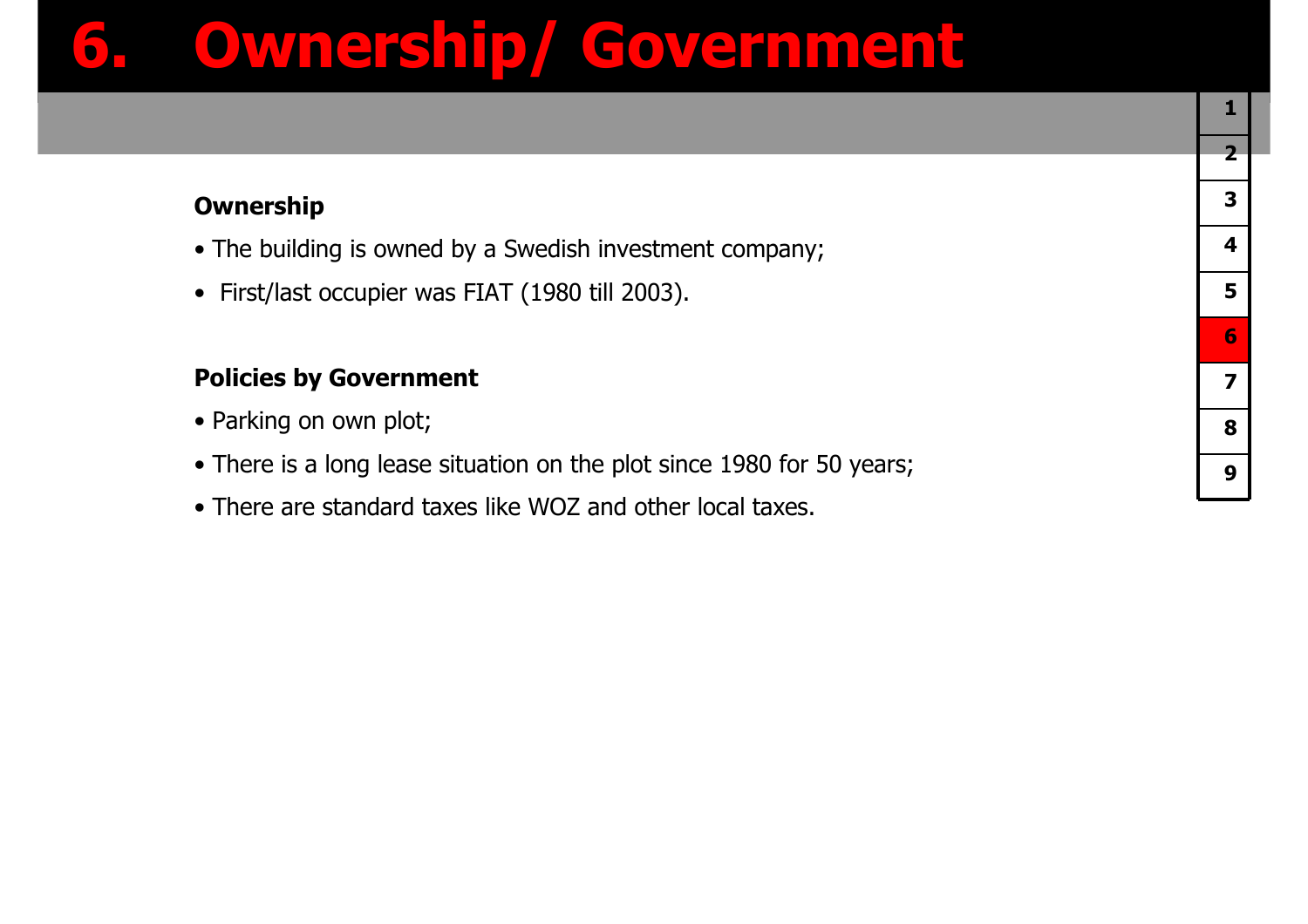## **6. Ownership/ Government**

#### **Ownership**

- The building is owned by a Swedish investment company;
- First/last occupier was FIAT (1980 till 2003).

#### **Policies by Government**

- Parking on own plot;
- There is a long lease situation on the plot since 1980 for 50 years;
- There are standard taxes like WOZ and other local taxes.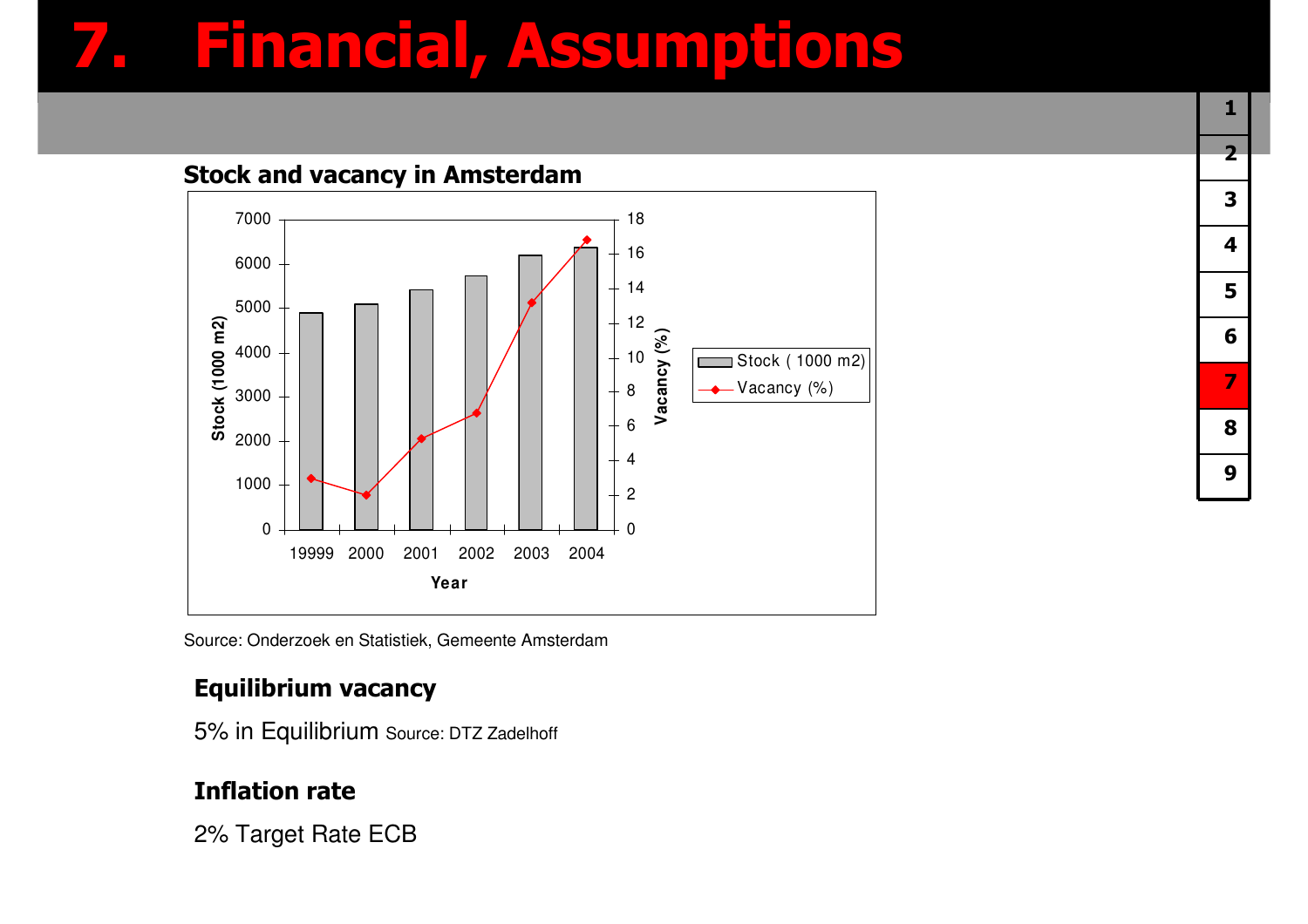## **7. Financial, Assumptions**



Source: Onderzoek en Statistiek, Gemeente Amsterdam

#### **Equilibrium vacancy**

5% in Equilibrium Source: DTZ Zadelhoff

#### **Inflation rate**

2% Target Rate ECB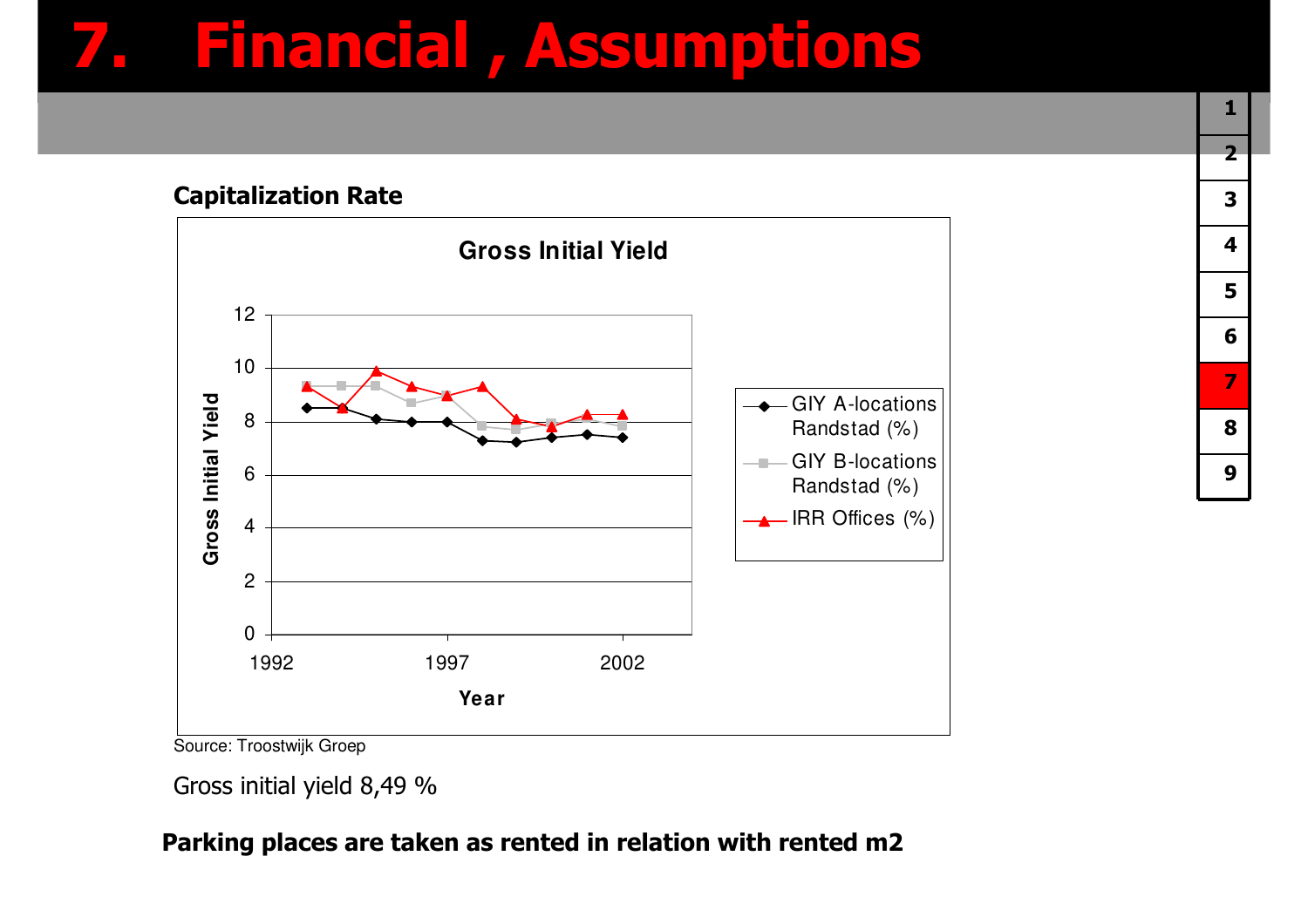### **7. Financial , Assumptions**

#### **Capitalization Rate**



Source: Troostwijk Groep

#### **Parking places are taken as rented in relation with rented m2**

Gross initial yield 8,49 %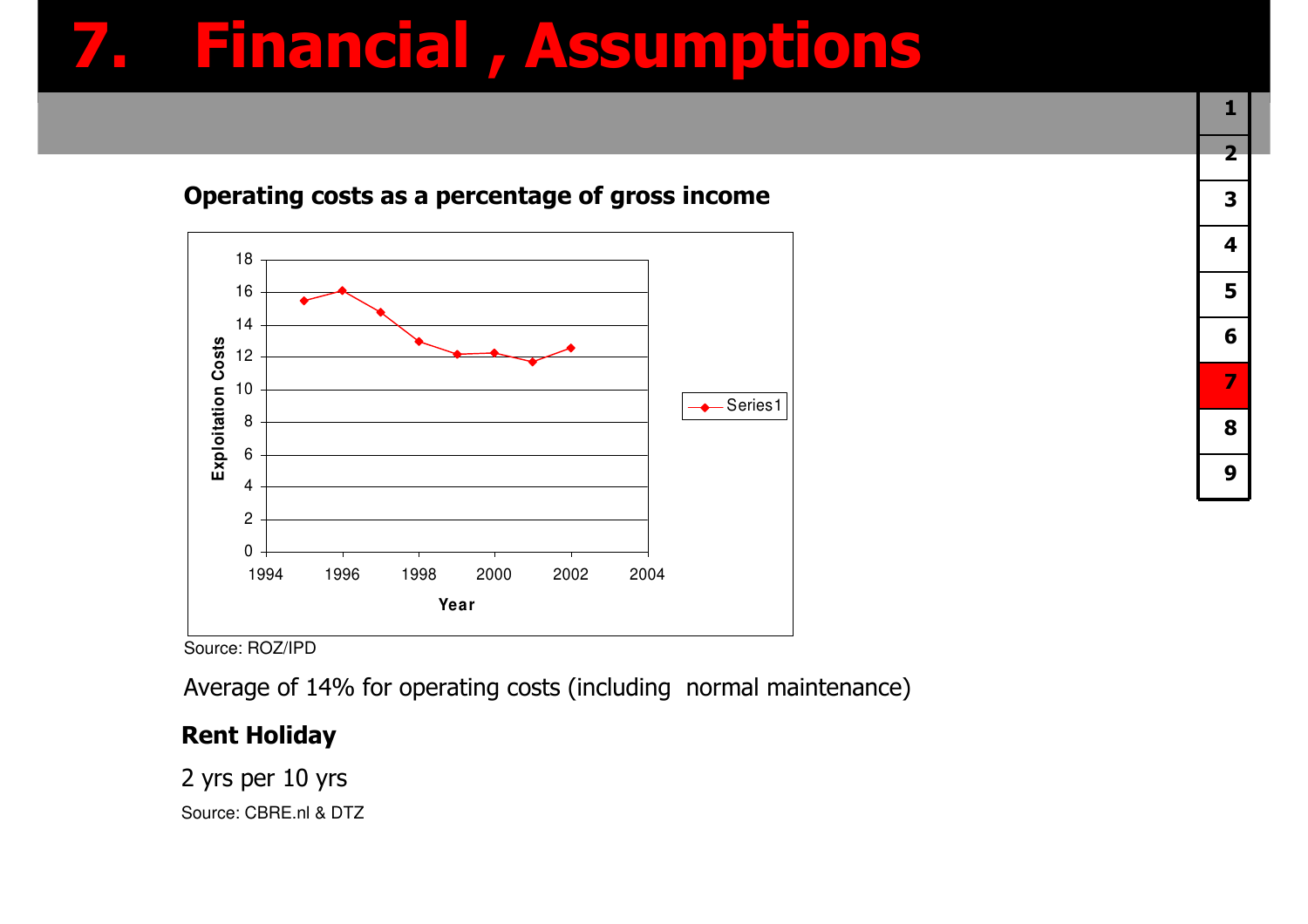## **7. Financial , Assumptions**



#### **Operating costs as a percentage of gross income**

Source: ROZ/IPD

Average of 14% for operating costs (including normal maintenance)

### **Rent Holiday**

2 yrs per 10 yrsSource: CBRE.nl & DTZ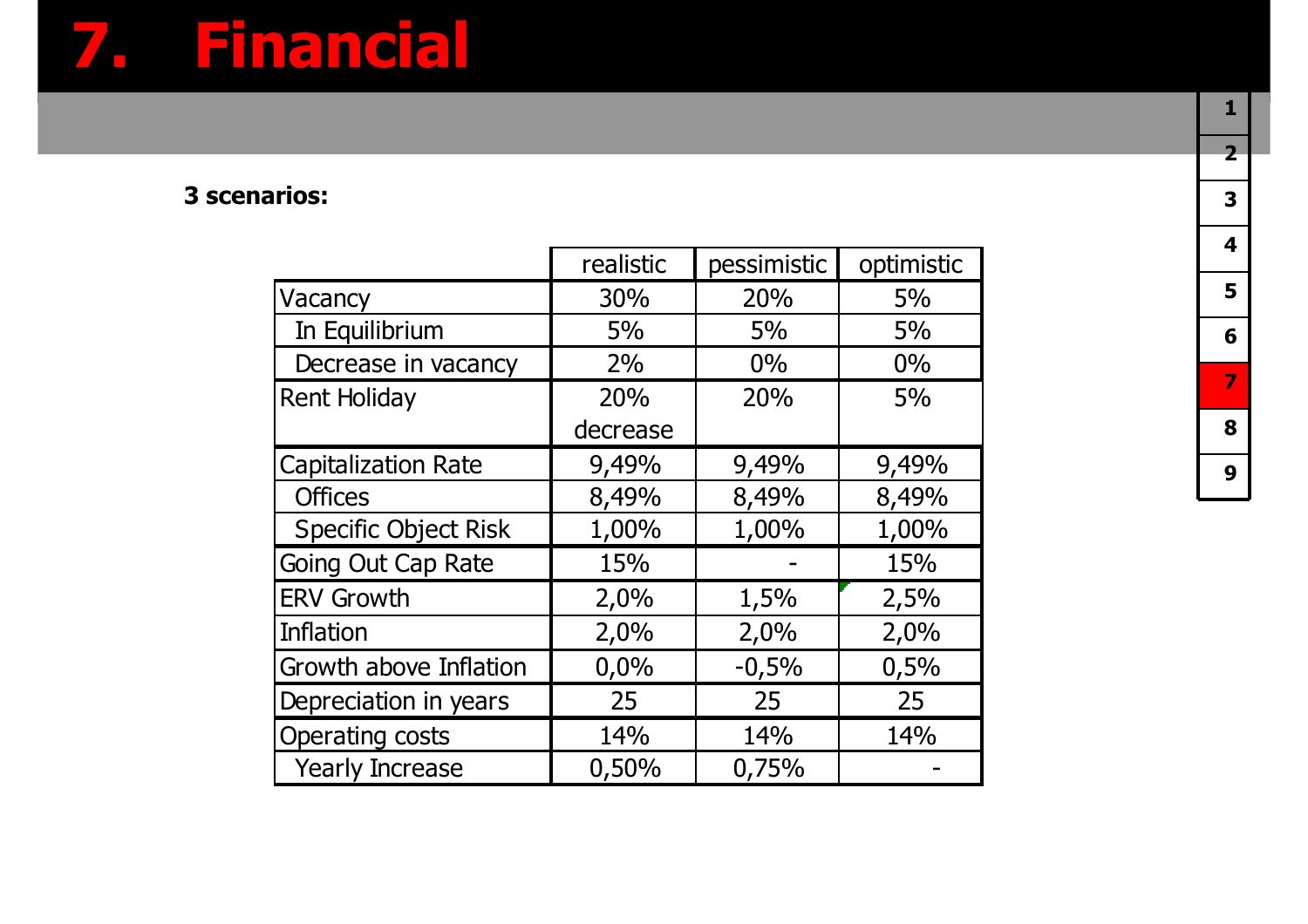## **7. Financial**

#### **3 scenarios:**

|                             | realistic | pessimistic | optimistic |
|-----------------------------|-----------|-------------|------------|
| Vacancy                     | 30%       | 20%         | 5%         |
| In Equilibrium              | 5%        | 5%          | 5%         |
| Decrease in vacancy         | 2%        | 0%          | 0%         |
| <b>Rent Holiday</b>         | 20%       | 20%         | 5%         |
|                             | decrease  |             |            |
| <b>Capitalization Rate</b>  | 9,49%     | 9,49%       | 9,49%      |
| <b>Offices</b>              | 8,49%     | 8,49%       | 8,49%      |
| <b>Specific Object Risk</b> | 1,00%     | 1,00%       | 1,00%      |
| <b>Going Out Cap Rate</b>   | 15%       |             | 15%        |
| <b>ERV Growth</b>           | 2,0%      | 1,5%        | 2,5%       |
| <b>Inflation</b>            | 2,0%      | 2,0%        | 2,0%       |
| Growth above Inflation      | 0,0%      | $-0,5%$     | 0,5%       |
| Depreciation in years       | 25        | 25          | 25         |
| <b>Operating costs</b>      | 14%       | 14%         | 14%        |
| <b>Yearly Increase</b>      | 0,50%     | 0,75%       |            |
|                             |           |             |            |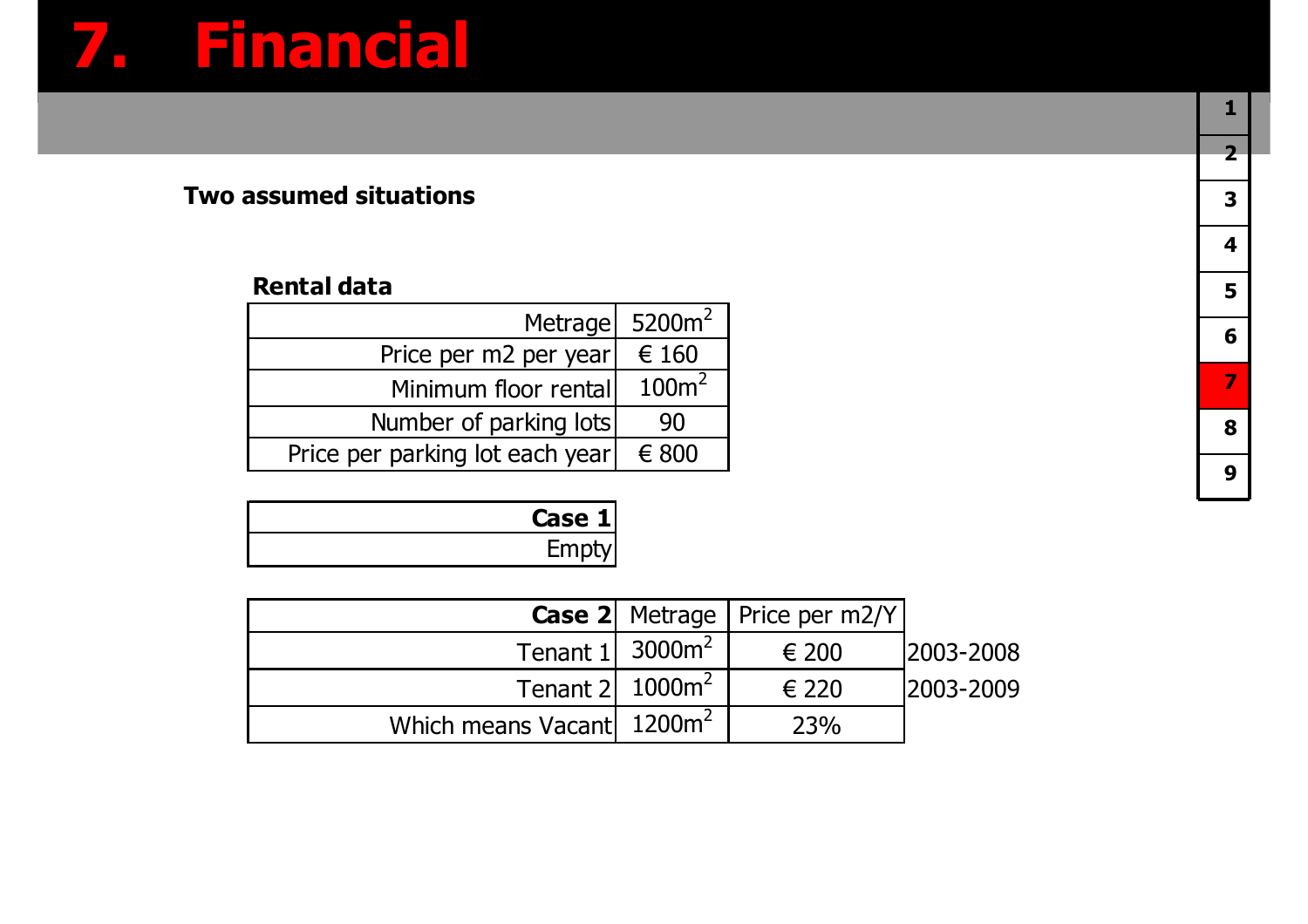## **7. Financial**

#### **Two assumed situations**

#### **Rental data**

| Metrage                         | $5200m^2$         |
|---------------------------------|-------------------|
| Price per m2 per year           | € 160             |
| Minimum floor rental            | 100m <sup>2</sup> |
| Number of parking lots          | 90                |
| Price per parking lot each year | $\epsilon$ 800    |
|                                 |                   |

| Case 1 |
|--------|
| Empt   |

|                                       |                               | <b>Case 2</b> Metrage   Price per m2/Y |            |
|---------------------------------------|-------------------------------|----------------------------------------|------------|
|                                       | Tenant $1$ 3000m <sup>2</sup> | € 200                                  | 2003-2008  |
|                                       | Tenant $2$ 1000 $\text{m}^2$  | € 220                                  | 12003-2009 |
| Which means Vacant 1200m <sup>2</sup> |                               | 23%                                    |            |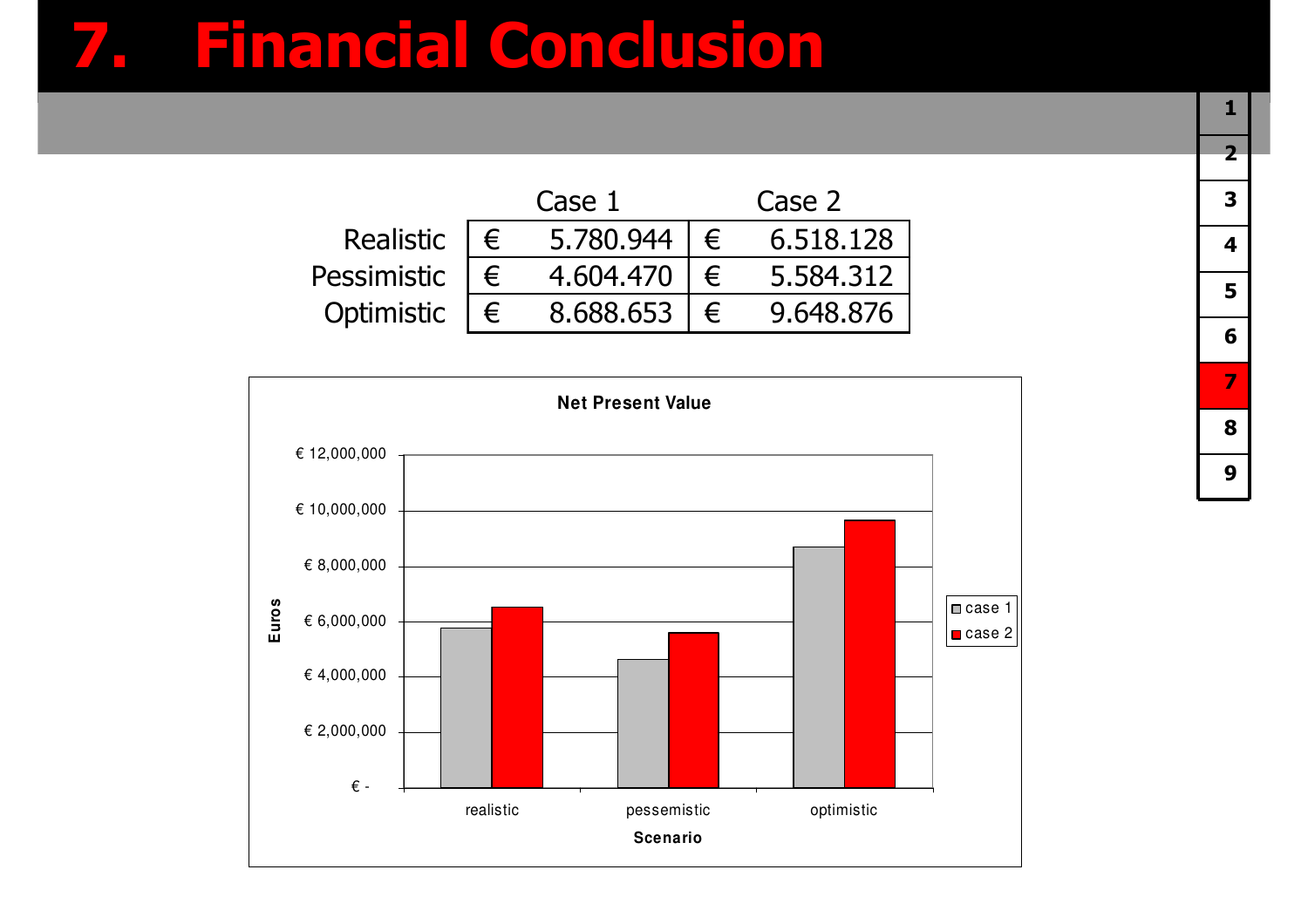### **7. Financial Conclusion**

|             | Case 1    | Case 2 |           |  |  |
|-------------|-----------|--------|-----------|--|--|
| Realistic   | 5.780.944 |        | 6.518.128 |  |  |
| Pessimistic | 4.604.470 |        | 5.584.312 |  |  |
| Optimistic  | 8.688.653 |        | 9.648.876 |  |  |

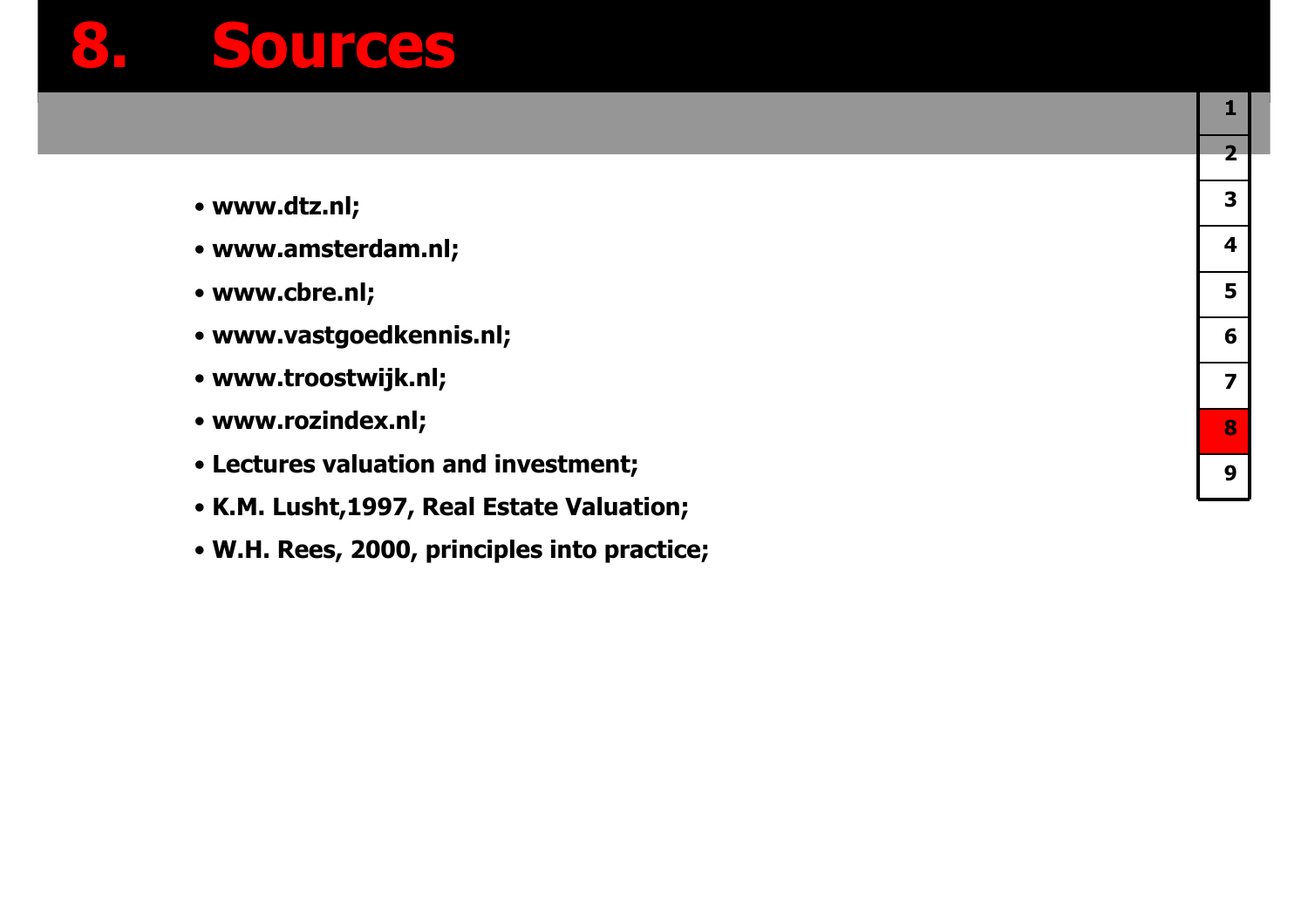### **8. Sources**

- **www.dtz.nl;**
- **www.amsterdam.nl;**
- **www.cbre.nl;**
- **www.vastgoedkennis.nl;**
- **www.troostwijk.nl;**
- **www.rozindex.nl;**
- **Lectures valuation and investment;**
- **K.M. Lusht,1997, Real Estate Valuation;**
- **W.H. Rees, 2000, principles into practice;**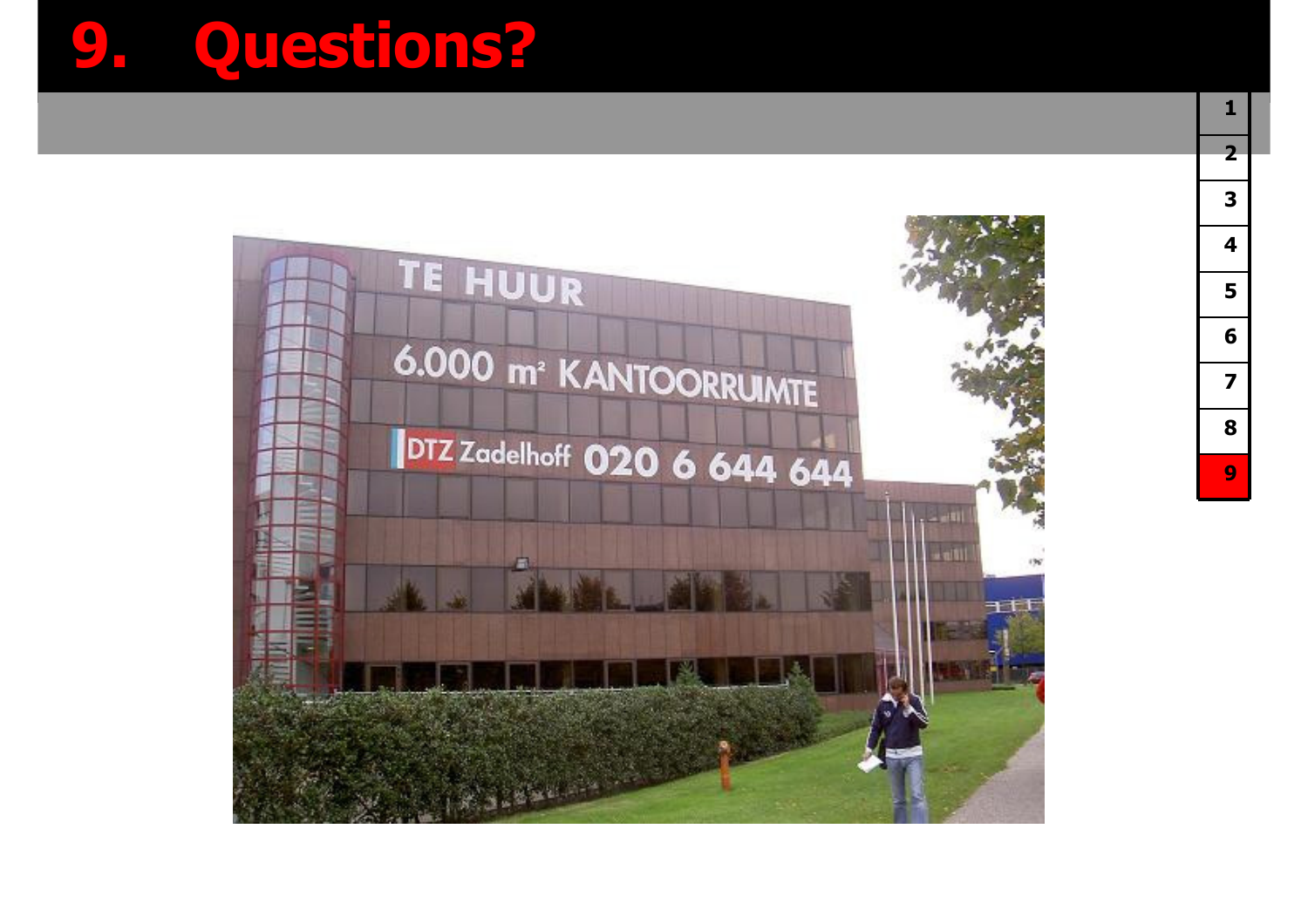## **9. Questions?**